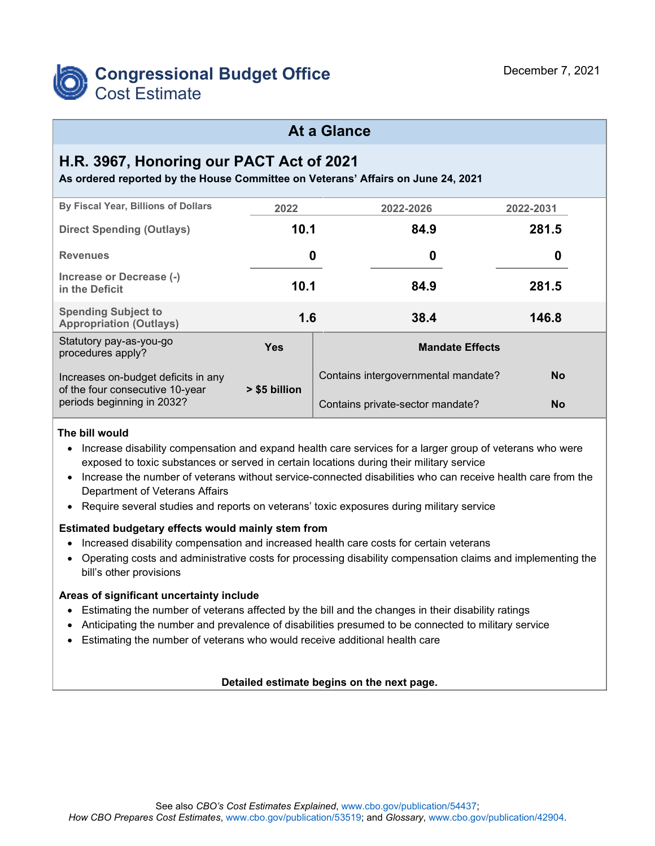

## **At a Glance**

# **H.R. 3967, Honoring our PACT Act of 2021**

**As ordered reported by the House Committee on Veterans' Affairs on June 24, 2021**

| By Fiscal Year, Billions of Dollars                                    | 2022          | 2022-2026                           | 2022-2031 |  |
|------------------------------------------------------------------------|---------------|-------------------------------------|-----------|--|
| <b>Direct Spending (Outlays)</b>                                       | 10.1          | 84.9                                | 281.5     |  |
| <b>Revenues</b>                                                        | 0             | 0                                   | 0         |  |
| Increase or Decrease (-)<br>in the Deficit                             | 10.1          | 84.9                                | 281.5     |  |
| <b>Spending Subject to</b><br><b>Appropriation (Outlays)</b>           | 1.6           | 38.4                                | 146.8     |  |
| Statutory pay-as-you-go<br>procedures apply?                           | <b>Yes</b>    | <b>Mandate Effects</b>              |           |  |
| Increases on-budget deficits in any<br>of the four consecutive 10-year | > \$5 billion | Contains intergovernmental mandate? | <b>No</b> |  |
| periods beginning in 2032?                                             |               | Contains private-sector mandate?    | <b>No</b> |  |

#### **The bill would**

- Increase disability compensation and expand health care services for a larger group of veterans who were exposed to toxic substances or served in certain locations during their military service
- Increase the number of veterans without service-connected disabilities who can receive health care from the Department of Veterans Affairs
- Require several studies and reports on veterans' toxic exposures during military service

#### **Estimated budgetary effects would mainly stem from**

- Increased disability compensation and increased health care costs for certain veterans
- Operating costs and administrative costs for processing disability compensation claims and implementing the bill's other provisions

#### **Areas of significant uncertainty include**

- Estimating the number of veterans affected by the bill and the changes in their disability ratings
- Anticipating the number and prevalence of disabilities presumed to be connected to military service
- Estimating the number of veterans who would receive additional health care

#### **Detailed estimate begins on the next page.**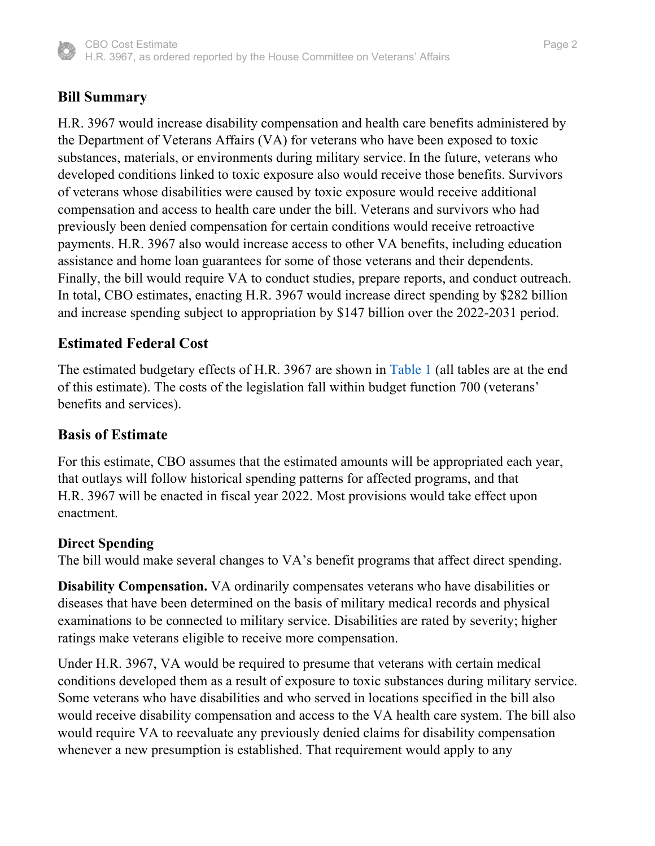

### **Bill Summary**

H.R. 3967 would increase disability compensation and health care benefits administered by the Department of Veterans Affairs (VA) for veterans who have been exposed to toxic substances, materials, or environments during military service. In the future, veterans who developed conditions linked to toxic exposure also would receive those benefits. Survivors of veterans whose disabilities were caused by toxic exposure would receive additional compensation and access to health care under the bill. Veterans and survivors who had previously been denied compensation for certain conditions would receive retroactive payments. H.R. 3967 also would increase access to other VA benefits, including education assistance and home loan guarantees for some of those veterans and their dependents. Finally, the bill would require VA to conduct studies, prepare reports, and conduct outreach. In total, CBO estimates, enacting H.R. 3967 would increase direct spending by \$282 billion and increase spending subject to appropriation by \$147 billion over the 2022-2031 period.

### **Estimated Federal Cost**

<span id="page-1-0"></span>The estimated budgetary effects of H.R. 3967 are shown in [Table 1](#page-16-0) (all tables are at the end of this estimate). The costs of the legislation fall within budget function 700 (veterans' benefits and services).

### **Basis of Estimate**

For this estimate, CBO assumes that the estimated amounts will be appropriated each year, that outlays will follow historical spending patterns for affected programs, and that H.R. 3967 will be enacted in fiscal year 2022. Most provisions would take effect upon enactment.

### **Direct Spending**

The bill would make several changes to VA's benefit programs that affect direct spending.

**Disability Compensation.** VA ordinarily compensates veterans who have disabilities or diseases that have been determined on the basis of military medical records and physical examinations to be connected to military service. Disabilities are rated by severity; higher ratings make veterans eligible to receive more compensation.

Under H.R. 3967, VA would be required to presume that veterans with certain medical conditions developed them as a result of exposure to toxic substances during military service. Some veterans who have disabilities and who served in locations specified in the bill also would receive disability compensation and access to the VA health care system. The bill also would require VA to reevaluate any previously denied claims for disability compensation whenever a new presumption is established. That requirement would apply to any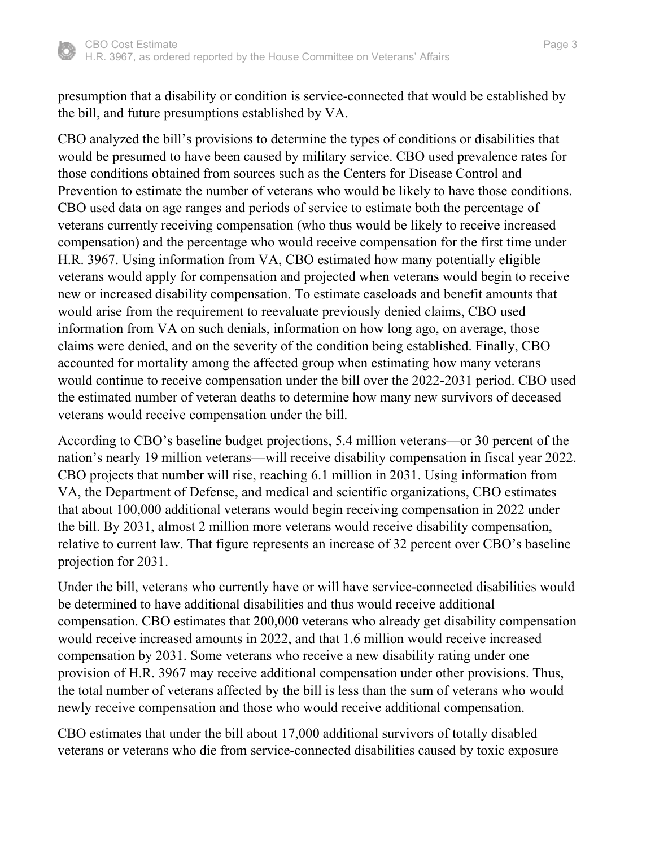

presumption that a disability or condition is service-connected that would be established by the bill, and future presumptions established by VA.

CBO analyzed the bill's provisions to determine the types of conditions or disabilities that would be presumed to have been caused by military service. CBO used prevalence rates for those conditions obtained from sources such as the Centers for Disease Control and Prevention to estimate the number of veterans who would be likely to have those conditions. CBO used data on age ranges and periods of service to estimate both the percentage of veterans currently receiving compensation (who thus would be likely to receive increased compensation) and the percentage who would receive compensation for the first time under H.R. 3967. Using information from VA, CBO estimated how many potentially eligible veterans would apply for compensation and projected when veterans would begin to receive new or increased disability compensation. To estimate caseloads and benefit amounts that would arise from the requirement to reevaluate previously denied claims, CBO used information from VA on such denials, information on how long ago, on average, those claims were denied, and on the severity of the condition being established. Finally, CBO accounted for mortality among the affected group when estimating how many veterans would continue to receive compensation under the bill over the 2022-2031 period. CBO used the estimated number of veteran deaths to determine how many new survivors of deceased veterans would receive compensation under the bill.

According to CBO's baseline budget projections, 5.4 million veterans—or 30 percent of the nation's nearly 19 million veterans—will receive disability compensation in fiscal year 2022. CBO projects that number will rise, reaching 6.1 million in 2031. Using information from VA, the Department of Defense, and medical and scientific organizations, CBO estimates that about 100,000 additional veterans would begin receiving compensation in 2022 under the bill. By 2031, almost 2 million more veterans would receive disability compensation, relative to current law. That figure represents an increase of 32 percent over CBO's baseline projection for 2031.

Under the bill, veterans who currently have or will have service-connected disabilities would be determined to have additional disabilities and thus would receive additional compensation. CBO estimates that 200,000 veterans who already get disability compensation would receive increased amounts in 2022, and that 1.6 million would receive increased compensation by 2031. Some veterans who receive a new disability rating under one provision of H.R. 3967 may receive additional compensation under other provisions. Thus, the total number of veterans affected by the bill is less than the sum of veterans who would newly receive compensation and those who would receive additional compensation.

CBO estimates that under the bill about 17,000 additional survivors of totally disabled veterans or veterans who die from service-connected disabilities caused by toxic exposure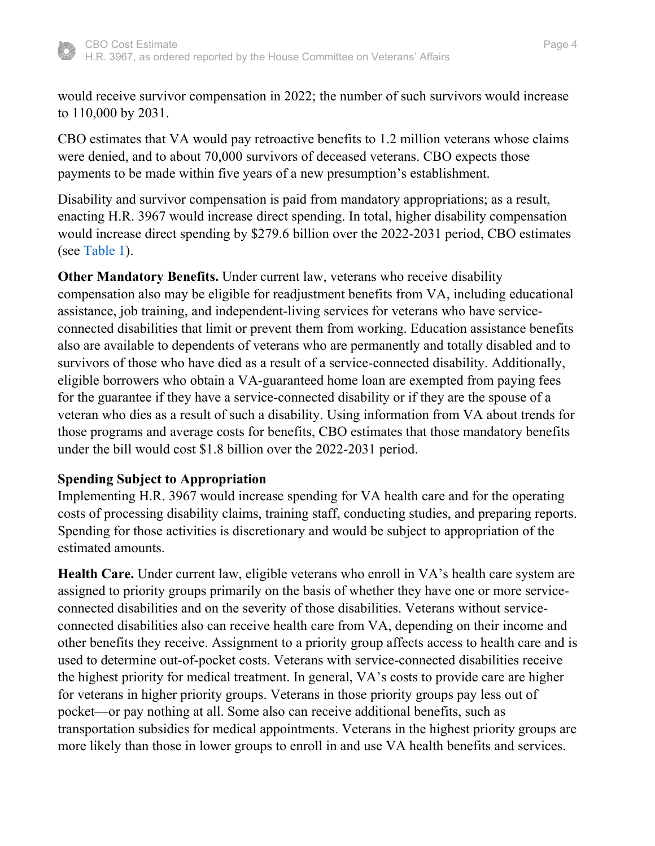

would receive survivor compensation in 2022; the number of such survivors would increase to 110,000 by 2031.

CBO estimates that VA would pay retroactive benefits to 1.2 million veterans whose claims were denied, and to about 70,000 survivors of deceased veterans. CBO expects those payments to be made within five years of a new presumption's establishment.

Disability and survivor compensation is paid from mandatory appropriations; as a result, enacting H.R. 3967 would increase direct spending. In total, higher disability compensation would increase direct spending by \$279.6 billion over the 2022-2031 period, CBO estimates (see [Table 1\)](#page-16-0).

**Other Mandatory Benefits.** Under current law, veterans who receive disability compensation also may be eligible for readjustment benefits from VA, including educational assistance, job training, and independent-living services for veterans who have serviceconnected disabilities that limit or prevent them from working. Education assistance benefits also are available to dependents of veterans who are permanently and totally disabled and to survivors of those who have died as a result of a service-connected disability. Additionally, eligible borrowers who obtain a VA-guaranteed home loan are exempted from paying fees for the guarantee if they have a service-connected disability or if they are the spouse of a veteran who dies as a result of such a disability. Using information from VA about trends for those programs and average costs for benefits, CBO estimates that those mandatory benefits under the bill would cost \$1.8 billion over the 2022-2031 period.

## **Spending Subject to Appropriation**

Implementing H.R. 3967 would increase spending for VA health care and for the operating costs of processing disability claims, training staff, conducting studies, and preparing reports. Spending for those activities is discretionary and would be subject to appropriation of the estimated amounts.

**Health Care.** Under current law, eligible veterans who enroll in VA's health care system are assigned to priority groups primarily on the basis of whether they have one or more serviceconnected disabilities and on the severity of those disabilities. Veterans without serviceconnected disabilities also can receive health care from VA, depending on their income and other benefits they receive. Assignment to a priority group affects access to health care and is used to determine out-of-pocket costs. Veterans with service-connected disabilities receive the highest priority for medical treatment. In general, VA's costs to provide care are higher for veterans in higher priority groups. Veterans in those priority groups pay less out of pocket—or pay nothing at all. Some also can receive additional benefits, such as transportation subsidies for medical appointments. Veterans in the highest priority groups are more likely than those in lower groups to enroll in and use VA health benefits and services.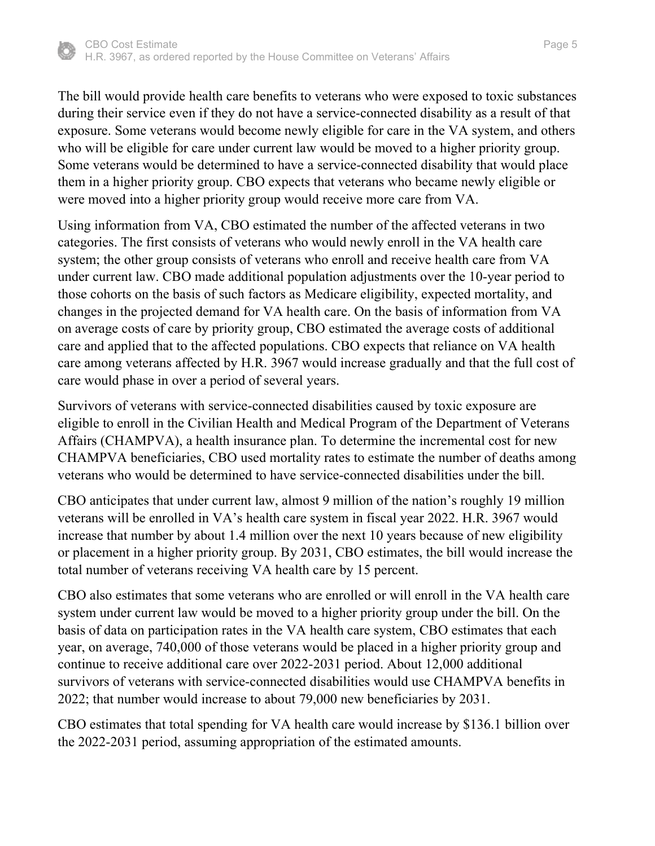

The bill would provide health care benefits to veterans who were exposed to toxic substances during their service even if they do not have a service-connected disability as a result of that exposure. Some veterans would become newly eligible for care in the VA system, and others who will be eligible for care under current law would be moved to a higher priority group. Some veterans would be determined to have a service-connected disability that would place them in a higher priority group. CBO expects that veterans who became newly eligible or were moved into a higher priority group would receive more care from VA.

Using information from VA, CBO estimated the number of the affected veterans in two categories. The first consists of veterans who would newly enroll in the VA health care system; the other group consists of veterans who enroll and receive health care from VA under current law. CBO made additional population adjustments over the 10-year period to those cohorts on the basis of such factors as Medicare eligibility, expected mortality, and changes in the projected demand for VA health care. On the basis of information from VA on average costs of care by priority group, CBO estimated the average costs of additional care and applied that to the affected populations. CBO expects that reliance on VA health care among veterans affected by H.R. 3967 would increase gradually and that the full cost of care would phase in over a period of several years.

Survivors of veterans with service-connected disabilities caused by toxic exposure are eligible to enroll in the Civilian Health and Medical Program of the Department of Veterans Affairs (CHAMPVA), a health insurance plan. To determine the incremental cost for new CHAMPVA beneficiaries, CBO used mortality rates to estimate the number of deaths among veterans who would be determined to have service-connected disabilities under the bill.

CBO anticipates that under current law, almost 9 million of the nation's roughly 19 million veterans will be enrolled in VA's health care system in fiscal year 2022. H.R. 3967 would increase that number by about 1.4 million over the next 10 years because of new eligibility or placement in a higher priority group. By 2031, CBO estimates, the bill would increase the total number of veterans receiving VA health care by 15 percent.

CBO also estimates that some veterans who are enrolled or will enroll in the VA health care system under current law would be moved to a higher priority group under the bill. On the basis of data on participation rates in the VA health care system, CBO estimates that each year, on average, 740,000 of those veterans would be placed in a higher priority group and continue to receive additional care over 2022-2031 period. About 12,000 additional survivors of veterans with service-connected disabilities would use CHAMPVA benefits in 2022; that number would increase to about 79,000 new beneficiaries by 2031.

CBO estimates that total spending for VA health care would increase by \$136.1 billion over the 2022-2031 period, assuming appropriation of the estimated amounts.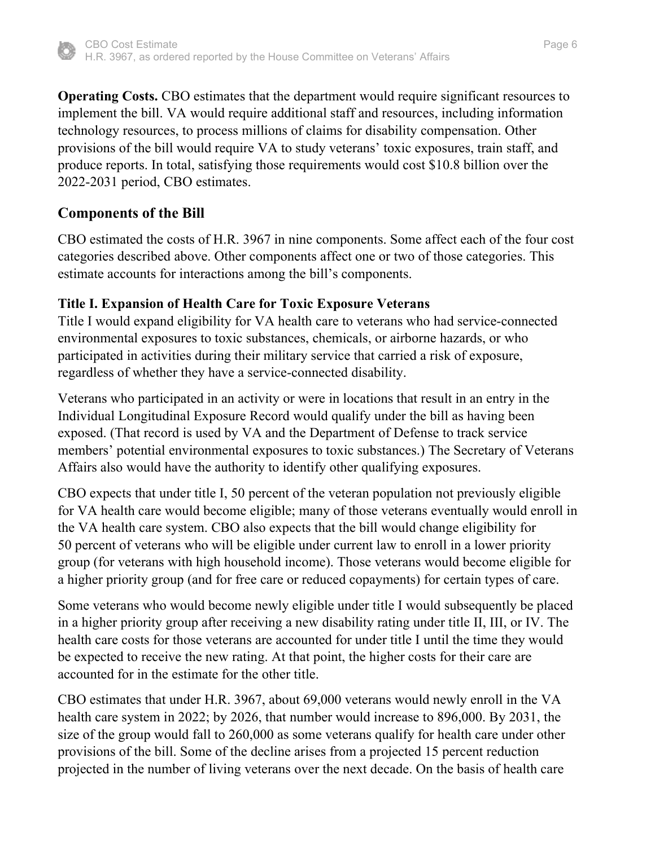

**Operating Costs.** CBO estimates that the department would require significant resources to implement the bill. VA would require additional staff and resources, including information technology resources, to process millions of claims for disability compensation. Other provisions of the bill would require VA to study veterans' toxic exposures, train staff, and produce reports. In total, satisfying those requirements would cost \$10.8 billion over the 2022-2031 period, CBO estimates.

## **Components of the Bill**

CBO estimated the costs of H.R. 3967 in nine components. Some affect each of the four cost categories described above. Other components affect one or two of those categories. This estimate accounts for interactions among the bill's components.

## **Title I. Expansion of Health Care for Toxic Exposure Veterans**

Title I would expand eligibility for VA health care to veterans who had service-connected environmental exposures to toxic substances, chemicals, or airborne hazards, or who participated in activities during their military service that carried a risk of exposure, regardless of whether they have a service-connected disability.

Veterans who participated in an activity or were in locations that result in an entry in the Individual Longitudinal Exposure Record would qualify under the bill as having been exposed. (That record is used by VA and the Department of Defense to track service members' potential environmental exposures to toxic substances.) The Secretary of Veterans Affairs also would have the authority to identify other qualifying exposures.

CBO expects that under title I, 50 percent of the veteran population not previously eligible for VA health care would become eligible; many of those veterans eventually would enroll in the VA health care system. CBO also expects that the bill would change eligibility for 50 percent of veterans who will be eligible under current law to enroll in a lower priority group (for veterans with high household income). Those veterans would become eligible for a higher priority group (and for free care or reduced copayments) for certain types of care.

Some veterans who would become newly eligible under title I would subsequently be placed in a higher priority group after receiving a new disability rating under title II, III, or IV. The health care costs for those veterans are accounted for under title I until the time they would be expected to receive the new rating. At that point, the higher costs for their care are accounted for in the estimate for the other title.

CBO estimates that under H.R. 3967, about 69,000 veterans would newly enroll in the VA health care system in 2022; by 2026, that number would increase to 896,000. By 2031, the size of the group would fall to 260,000 as some veterans qualify for health care under other provisions of the bill. Some of the decline arises from a projected 15 percent reduction projected in the number of living veterans over the next decade. On the basis of health care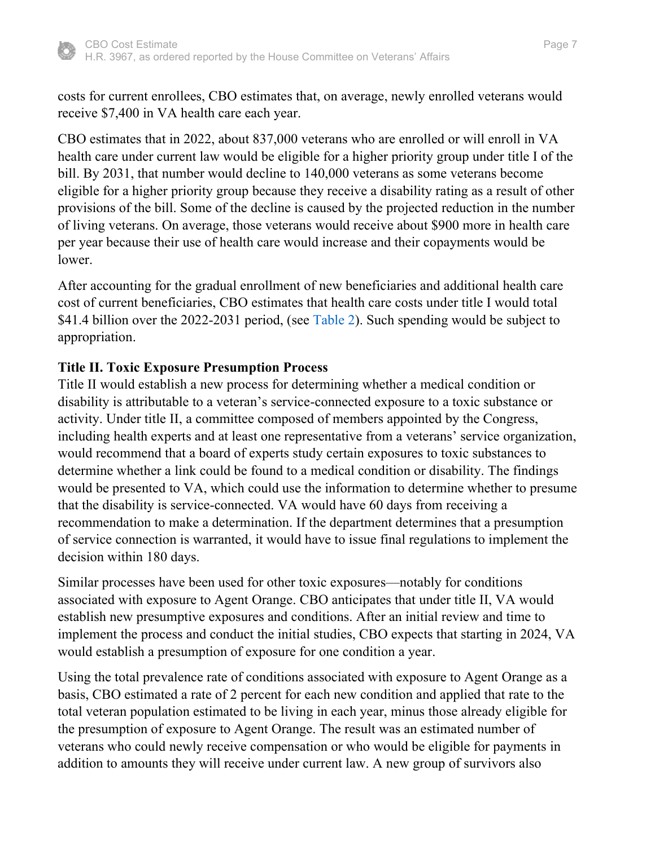

costs for current enrollees, CBO estimates that, on average, newly enrolled veterans would receive \$7,400 in VA health care each year.

CBO estimates that in 2022, about 837,000 veterans who are enrolled or will enroll in VA health care under current law would be eligible for a higher priority group under title I of the bill. By 2031, that number would decline to 140,000 veterans as some veterans become eligible for a higher priority group because they receive a disability rating as a result of other provisions of the bill. Some of the decline is caused by the projected reduction in the number of living veterans. On average, those veterans would receive about \$900 more in health care per year because their use of health care would increase and their copayments would be lower.

<span id="page-6-0"></span>After accounting for the gradual enrollment of new beneficiaries and additional health care cost of current beneficiaries, CBO estimates that health care costs under title I would total \$41.4 billion over the 2022-2031 period, (see [Table 2\)](#page-17-0). Such spending would be subject to appropriation.

## **Title II. Toxic Exposure Presumption Process**

Title II would establish a new process for determining whether a medical condition or disability is attributable to a veteran's service-connected exposure to a toxic substance or activity. Under title II, a committee composed of members appointed by the Congress, including health experts and at least one representative from a veterans' service organization, would recommend that a board of experts study certain exposures to toxic substances to determine whether a link could be found to a medical condition or disability. The findings would be presented to VA, which could use the information to determine whether to presume that the disability is service-connected. VA would have 60 days from receiving a recommendation to make a determination. If the department determines that a presumption of service connection is warranted, it would have to issue final regulations to implement the decision within 180 days.

Similar processes have been used for other toxic exposures—notably for conditions associated with exposure to Agent Orange. CBO anticipates that under title II, VA would establish new presumptive exposures and conditions. After an initial review and time to implement the process and conduct the initial studies, CBO expects that starting in 2024, VA would establish a presumption of exposure for one condition a year.

Using the total prevalence rate of conditions associated with exposure to Agent Orange as a basis, CBO estimated a rate of 2 percent for each new condition and applied that rate to the total veteran population estimated to be living in each year, minus those already eligible for the presumption of exposure to Agent Orange. The result was an estimated number of veterans who could newly receive compensation or who would be eligible for payments in addition to amounts they will receive under current law. A new group of survivors also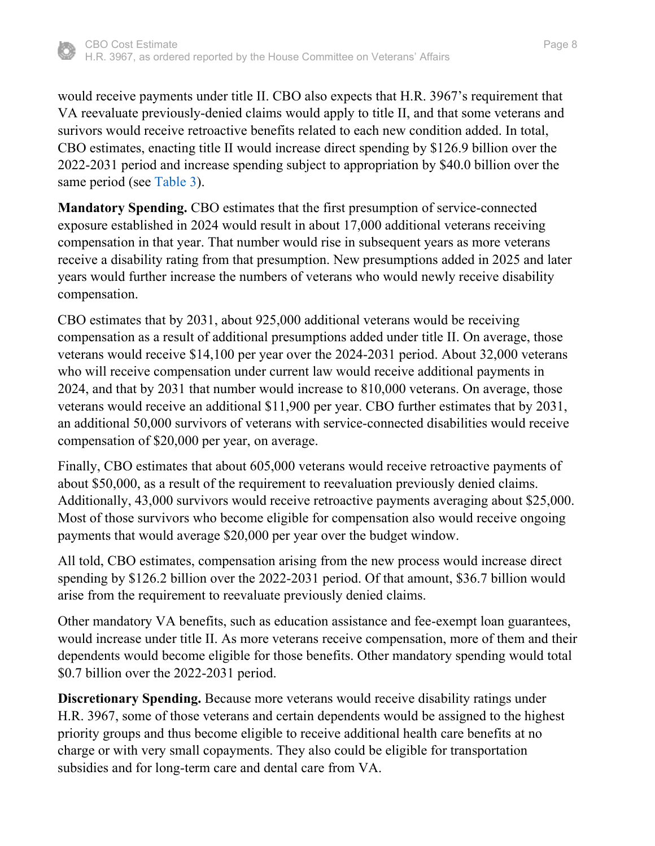

would receive payments under title II. CBO also expects that H.R. 3967's requirement that VA reevaluate previously-denied claims would apply to title II, and that some veterans and surivors would receive retroactive benefits related to each new condition added. In total, CBO estimates, enacting title II would increase direct spending by \$126.9 billion over the 2022-2031 period and increase spending subject to appropriation by \$40.0 billion over the same period (see [Table 3\)](#page-18-0).

<span id="page-7-0"></span>**Mandatory Spending.** CBO estimates that the first presumption of service-connected exposure established in 2024 would result in about 17,000 additional veterans receiving compensation in that year. That number would rise in subsequent years as more veterans receive a disability rating from that presumption. New presumptions added in 2025 and later years would further increase the numbers of veterans who would newly receive disability compensation.

CBO estimates that by 2031, about 925,000 additional veterans would be receiving compensation as a result of additional presumptions added under title II. On average, those veterans would receive \$14,100 per year over the 2024-2031 period. About 32,000 veterans who will receive compensation under current law would receive additional payments in 2024, and that by 2031 that number would increase to 810,000 veterans. On average, those veterans would receive an additional \$11,900 per year. CBO further estimates that by 2031, an additional 50,000 survivors of veterans with service-connected disabilities would receive compensation of \$20,000 per year, on average.

Finally, CBO estimates that about 605,000 veterans would receive retroactive payments of about \$50,000, as a result of the requirement to reevaluation previously denied claims. Additionally, 43,000 survivors would receive retroactive payments averaging about \$25,000. Most of those survivors who become eligible for compensation also would receive ongoing payments that would average \$20,000 per year over the budget window.

All told, CBO estimates, compensation arising from the new process would increase direct spending by \$126.2 billion over the 2022-2031 period. Of that amount, \$36.7 billion would arise from the requirement to reevaluate previously denied claims.

Other mandatory VA benefits, such as education assistance and fee-exempt loan guarantees, would increase under title II. As more veterans receive compensation, more of them and their dependents would become eligible for those benefits. Other mandatory spending would total \$0.7 billion over the 2022-2031 period.

**Discretionary Spending.** Because more veterans would receive disability ratings under H.R. 3967, some of those veterans and certain dependents would be assigned to the highest priority groups and thus become eligible to receive additional health care benefits at no charge or with very small copayments. They also could be eligible for transportation subsidies and for long-term care and dental care from VA.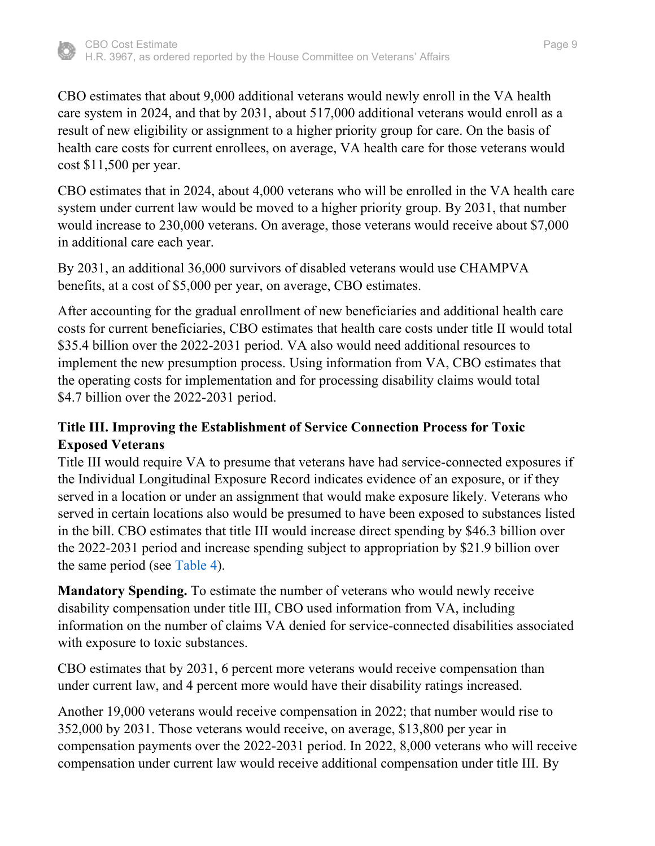

health care costs for current enrollees, on average, VA health care for those veterans would cost \$11,500 per year.

CBO estimates that in 2024, about 4,000 veterans who will be enrolled in the VA health care system under current law would be moved to a higher priority group. By 2031, that number would increase to 230,000 veterans. On average, those veterans would receive about \$7,000 in additional care each year.

By 2031, an additional 36,000 survivors of disabled veterans would use CHAMPVA benefits, at a cost of \$5,000 per year, on average, CBO estimates.

After accounting for the gradual enrollment of new beneficiaries and additional health care costs for current beneficiaries, CBO estimates that health care costs under title II would total \$35.4 billion over the 2022-2031 period. VA also would need additional resources to implement the new presumption process. Using information from VA, CBO estimates that the operating costs for implementation and for processing disability claims would total \$4.7 billion over the 2022-2031 period.

# **Title III. Improving the Establishment of Service Connection Process for Toxic Exposed Veterans**

Title III would require VA to presume that veterans have had service-connected exposures if the Individual Longitudinal Exposure Record indicates evidence of an exposure, or if they served in a location or under an assignment that would make exposure likely. Veterans who served in certain locations also would be presumed to have been exposed to substances listed in the bill. CBO estimates that title III would increase direct spending by \$46.3 billion over the 2022-2031 period and increase spending subject to appropriation by \$21.9 billion over the same period (see [Table 4\)](#page-19-0).

<span id="page-8-0"></span>**Mandatory Spending.** To estimate the number of veterans who would newly receive disability compensation under title III, CBO used information from VA, including information on the number of claims VA denied for service-connected disabilities associated with exposure to toxic substances.

CBO estimates that by 2031, 6 percent more veterans would receive compensation than under current law, and 4 percent more would have their disability ratings increased.

Another 19,000 veterans would receive compensation in 2022; that number would rise to 352,000 by 2031. Those veterans would receive, on average, \$13,800 per year in compensation payments over the 2022-2031 period. In 2022, 8,000 veterans who will receive compensation under current law would receive additional compensation under title III. By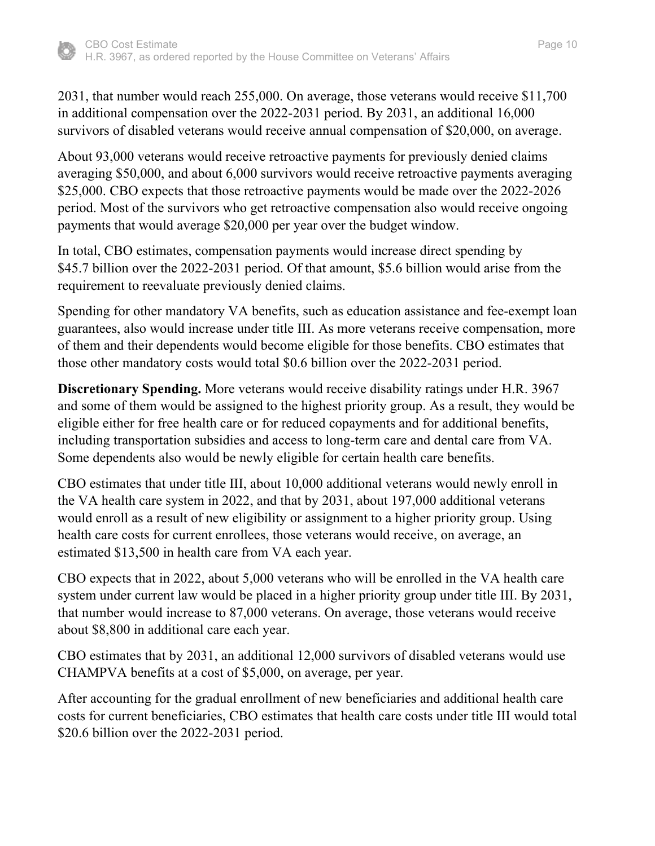

2031, that number would reach 255,000. On average, those veterans would receive \$11,700 in additional compensation over the 2022-2031 period. By 2031, an additional 16,000 survivors of disabled veterans would receive annual compensation of \$20,000, on average.

About 93,000 veterans would receive retroactive payments for previously denied claims averaging \$50,000, and about 6,000 survivors would receive retroactive payments averaging \$25,000. CBO expects that those retroactive payments would be made over the 2022-2026 period. Most of the survivors who get retroactive compensation also would receive ongoing payments that would average \$20,000 per year over the budget window.

In total, CBO estimates, compensation payments would increase direct spending by \$45.7 billion over the 2022-2031 period. Of that amount, \$5.6 billion would arise from the requirement to reevaluate previously denied claims.

Spending for other mandatory VA benefits, such as education assistance and fee-exempt loan guarantees, also would increase under title III. As more veterans receive compensation, more of them and their dependents would become eligible for those benefits. CBO estimates that those other mandatory costs would total \$0.6 billion over the 2022-2031 period.

**Discretionary Spending.** More veterans would receive disability ratings under H.R. 3967 and some of them would be assigned to the highest priority group. As a result, they would be eligible either for free health care or for reduced copayments and for additional benefits, including transportation subsidies and access to long-term care and dental care from VA. Some dependents also would be newly eligible for certain health care benefits.

CBO estimates that under title III, about 10,000 additional veterans would newly enroll in the VA health care system in 2022, and that by 2031, about 197,000 additional veterans would enroll as a result of new eligibility or assignment to a higher priority group. Using health care costs for current enrollees, those veterans would receive, on average, an estimated \$13,500 in health care from VA each year.

CBO expects that in 2022, about 5,000 veterans who will be enrolled in the VA health care system under current law would be placed in a higher priority group under title III. By 2031, that number would increase to 87,000 veterans. On average, those veterans would receive about \$8,800 in additional care each year.

CBO estimates that by 2031, an additional 12,000 survivors of disabled veterans would use CHAMPVA benefits at a cost of \$5,000, on average, per year.

After accounting for the gradual enrollment of new beneficiaries and additional health care costs for current beneficiaries, CBO estimates that health care costs under title III would total \$20.6 billion over the 2022-2031 period.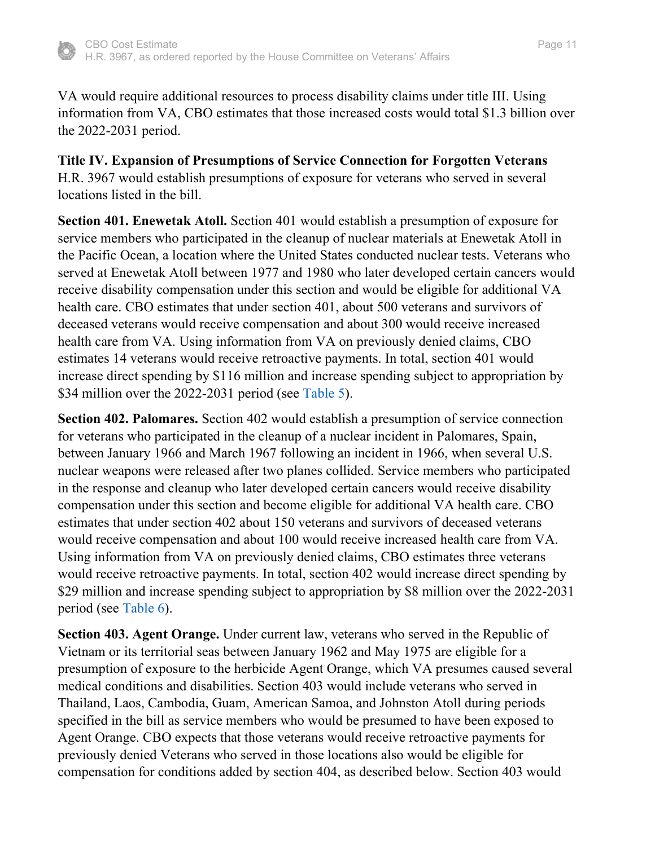

## **Title IV. Expansion of Presumptions of Service Connection for Forgotten Veterans** H.R. 3967 would establish presumptions of exposure for veterans who served in several locations listed in the bill.

**Section 401. Enewetak Atoll.** Section 401 would establish a presumption of exposure for service members who participated in the cleanup of nuclear materials at Enewetak Atoll in the Pacific Ocean, a location where the United States conducted nuclear tests. Veterans who served at Enewetak Atoll between 1977 and 1980 who later developed certain cancers would receive disability compensation under this section and would be eligible for additional VA health care. CBO estimates that under section 401, about 500 veterans and survivors of deceased veterans would receive compensation and about 300 would receive increased health care from VA. Using information from VA on previously denied claims, CBO estimates 14 veterans would receive retroactive payments. In total, section 401 would increase direct spending by \$116 million and increase spending subject to appropriation by \$34 million over the 2022-2031 period (see [Table 5\)](#page-20-0).

<span id="page-10-0"></span>**Section 402. Palomares.** Section 402 would establish a presumption of service connection for veterans who participated in the cleanup of a nuclear incident in Palomares, Spain, between January 1966 and March 1967 following an incident in 1966, when several U.S. nuclear weapons were released after two planes collided. Service members who participated in the response and cleanup who later developed certain cancers would receive disability compensation under this section and become eligible for additional VA health care. CBO estimates that under section 402 about 150 veterans and survivors of deceased veterans would receive compensation and about 100 would receive increased health care from VA. Using information from VA on previously denied claims, CBO estimates three veterans would receive retroactive payments. In total, section 402 would increase direct spending by \$29 million and increase spending subject to appropriation by \$8 million over the 2022-2031 period (see [Table 6\)](#page-21-0).

<span id="page-10-1"></span>**Section 403. Agent Orange.** Under current law, veterans who served in the Republic of Vietnam or its territorial seas between January 1962 and May 1975 are eligible for a presumption of exposure to the herbicide Agent Orange, which VA presumes caused several medical conditions and disabilities. Section 403 would include veterans who served in Thailand, Laos, Cambodia, Guam, American Samoa, and Johnston Atoll during periods specified in the bill as service members who would be presumed to have been exposed to Agent Orange. CBO expects that those veterans would receive retroactive payments for previously denied Veterans who served in those locations also would be eligible for compensation for conditions added by section 404, as described below. Section 403 would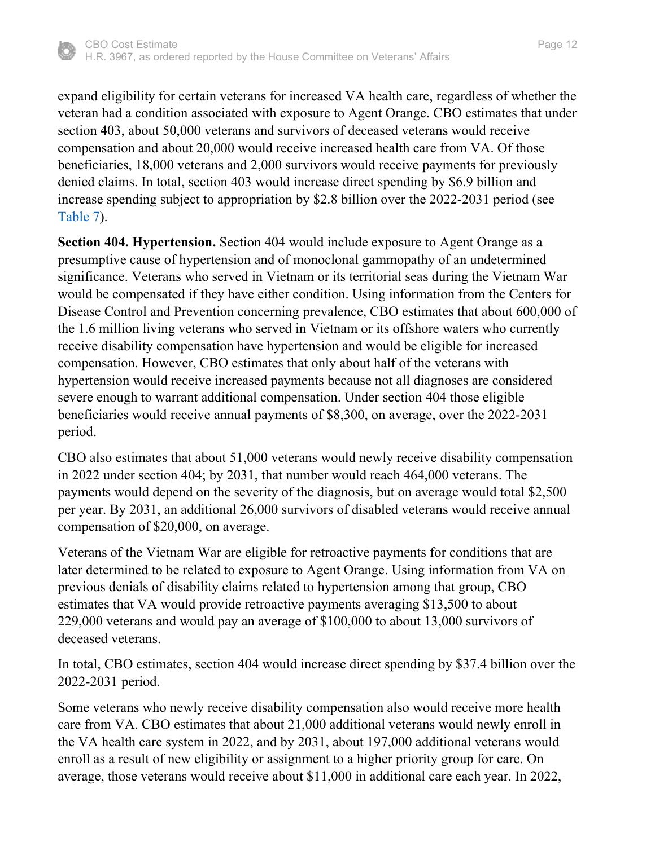

expand eligibility for certain veterans for increased VA health care, regardless of whether the veteran had a condition associated with exposure to Agent Orange. CBO estimates that under section 403, about 50,000 veterans and survivors of deceased veterans would receive compensation and about 20,000 would receive increased health care from VA. Of those beneficiaries, 18,000 veterans and 2,000 survivors would receive payments for previously denied claims. In total, section 403 would increase direct spending by \$6.9 billion and increase spending subject to appropriation by \$2.8 billion over the 2022-2031 period (see [Table 7\)](#page-22-0).

<span id="page-11-0"></span>**Section 404. Hypertension.** Section 404 would include exposure to Agent Orange as a presumptive cause of hypertension and of monoclonal gammopathy of an undetermined significance. Veterans who served in Vietnam or its territorial seas during the Vietnam War would be compensated if they have either condition. Using information from the Centers for Disease Control and Prevention concerning prevalence, CBO estimates that about 600,000 of the 1.6 million living veterans who served in Vietnam or its offshore waters who currently receive disability compensation have hypertension and would be eligible for increased compensation. However, CBO estimates that only about half of the veterans with hypertension would receive increased payments because not all diagnoses are considered severe enough to warrant additional compensation. Under section 404 those eligible beneficiaries would receive annual payments of \$8,300, on average, over the 2022-2031 period.

CBO also estimates that about 51,000 veterans would newly receive disability compensation in 2022 under section 404; by 2031, that number would reach 464,000 veterans. The payments would depend on the severity of the diagnosis, but on average would total \$2,500 per year. By 2031, an additional 26,000 survivors of disabled veterans would receive annual compensation of \$20,000, on average.

Veterans of the Vietnam War are eligible for retroactive payments for conditions that are later determined to be related to exposure to Agent Orange. Using information from VA on previous denials of disability claims related to hypertension among that group, CBO estimates that VA would provide retroactive payments averaging \$13,500 to about 229,000 veterans and would pay an average of \$100,000 to about 13,000 survivors of deceased veterans.

In total, CBO estimates, section 404 would increase direct spending by \$37.4 billion over the 2022-2031 period.

Some veterans who newly receive disability compensation also would receive more health care from VA. CBO estimates that about 21,000 additional veterans would newly enroll in the VA health care system in 2022, and by 2031, about 197,000 additional veterans would enroll as a result of new eligibility or assignment to a higher priority group for care. On average, those veterans would receive about \$11,000 in additional care each year. In 2022,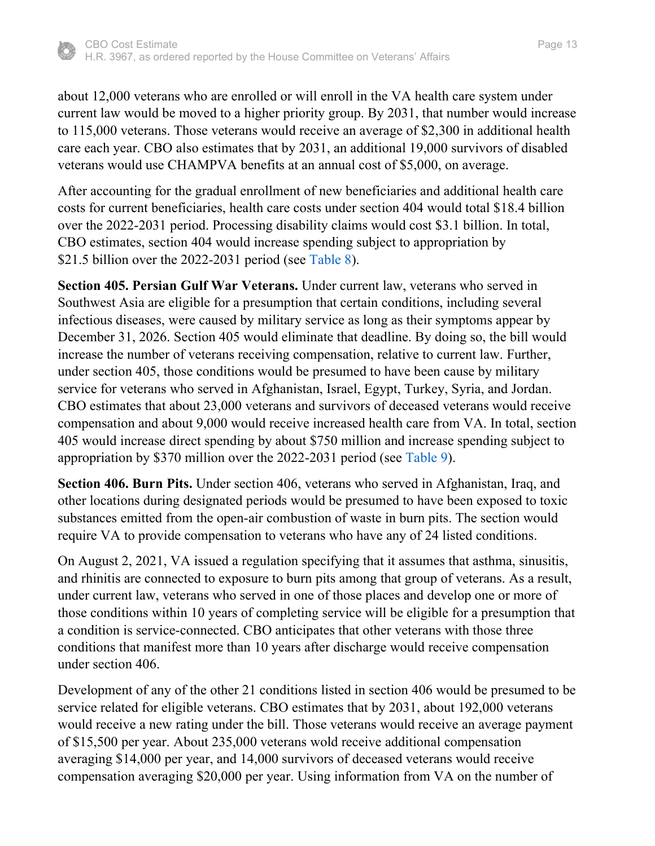

about 12,000 veterans who are enrolled or will enroll in the VA health care system under current law would be moved to a higher priority group. By 2031, that number would increase to 115,000 veterans. Those veterans would receive an average of \$2,300 in additional health care each year. CBO also estimates that by 2031, an additional 19,000 survivors of disabled veterans would use CHAMPVA benefits at an annual cost of \$5,000, on average.

After accounting for the gradual enrollment of new beneficiaries and additional health care costs for current beneficiaries, health care costs under section 404 would total \$18.4 billion over the 2022-2031 period. Processing disability claims would cost \$3.1 billion. In total, CBO estimates, section 404 would increase spending subject to appropriation by \$21.5 billion over the 2022-2031 period (see [Table 8\)](#page-23-0).

<span id="page-12-0"></span>**Section 405. Persian Gulf War Veterans.** Under current law, veterans who served in Southwest Asia are eligible for a presumption that certain conditions, including several infectious diseases, were caused by military service as long as their symptoms appear by December 31, 2026. Section 405 would eliminate that deadline. By doing so, the bill would increase the number of veterans receiving compensation, relative to current law. Further, under section 405, those conditions would be presumed to have been cause by military service for veterans who served in Afghanistan, Israel, Egypt, Turkey, Syria, and Jordan. CBO estimates that about 23,000 veterans and survivors of deceased veterans would receive compensation and about 9,000 would receive increased health care from VA. In total, section 405 would increase direct spending by about \$750 million and increase spending subject to appropriation by \$370 million over the 2022-2031 period (see [Table 9\)](#page-24-0).

<span id="page-12-1"></span>**Section 406. Burn Pits.** Under section 406, veterans who served in Afghanistan, Iraq, and other locations during designated periods would be presumed to have been exposed to toxic substances emitted from the open-air combustion of waste in burn pits. The section would require VA to provide compensation to veterans who have any of 24 listed conditions.

On August 2, 2021, VA issued a regulation specifying that it assumes that asthma, sinusitis, and rhinitis are connected to exposure to burn pits among that group of veterans. As a result, under current law, veterans who served in one of those places and develop one or more of those conditions within 10 years of completing service will be eligible for a presumption that a condition is service-connected. CBO anticipates that other veterans with those three conditions that manifest more than 10 years after discharge would receive compensation under section 406.

Development of any of the other 21 conditions listed in section 406 would be presumed to be service related for eligible veterans. CBO estimates that by 2031, about 192,000 veterans would receive a new rating under the bill. Those veterans would receive an average payment of \$15,500 per year. About 235,000 veterans wold receive additional compensation averaging \$14,000 per year, and 14,000 survivors of deceased veterans would receive compensation averaging \$20,000 per year. Using information from VA on the number of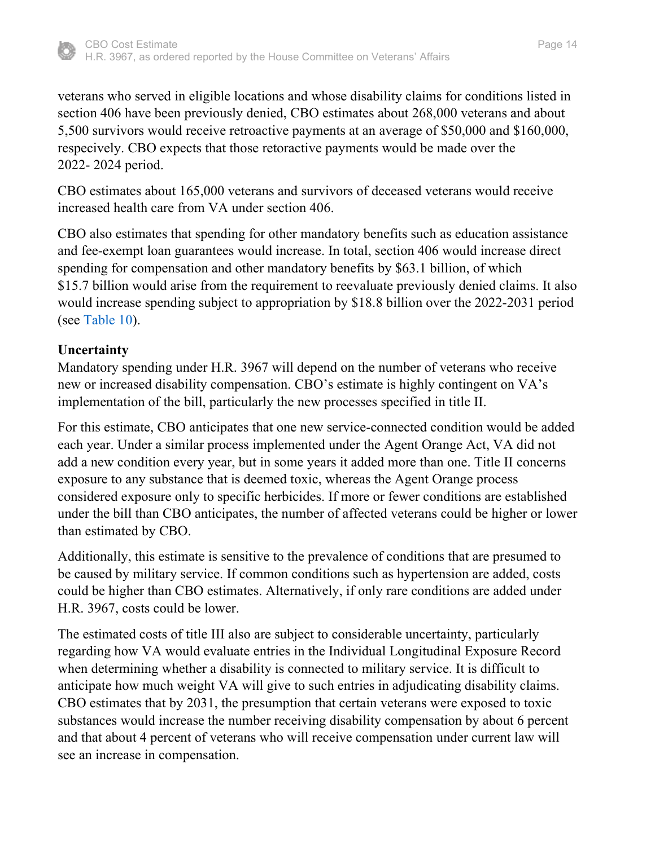

veterans who served in eligible locations and whose disability claims for conditions listed in section 406 have been previously denied, CBO estimates about 268,000 veterans and about 5,500 survivors would receive retroactive payments at an average of \$50,000 and \$160,000, respecively. CBO expects that those retoractive payments would be made over the 2022- 2024 period.

CBO estimates about 165,000 veterans and survivors of deceased veterans would receive increased health care from VA under section 406.

CBO also estimates that spending for other mandatory benefits such as education assistance and fee-exempt loan guarantees would increase. In total, section 406 would increase direct spending for compensation and other mandatory benefits by \$63.1 billion, of which \$15.7 billion would arise from the requirement to reevaluate previously denied claims. It also would increase spending subject to appropriation by \$18.8 billion over the 2022-2031 period (see [Table 10\)](#page-25-0).

### <span id="page-13-0"></span>**Uncertainty**

Mandatory spending under H.R. 3967 will depend on the number of veterans who receive new or increased disability compensation. CBO's estimate is highly contingent on VA's implementation of the bill, particularly the new processes specified in title II.

For this estimate, CBO anticipates that one new service-connected condition would be added each year. Under a similar process implemented under the Agent Orange Act, VA did not add a new condition every year, but in some years it added more than one. Title II concerns exposure to any substance that is deemed toxic, whereas the Agent Orange process considered exposure only to specific herbicides. If more or fewer conditions are established under the bill than CBO anticipates, the number of affected veterans could be higher or lower than estimated by CBO.

Additionally, this estimate is sensitive to the prevalence of conditions that are presumed to be caused by military service. If common conditions such as hypertension are added, costs could be higher than CBO estimates. Alternatively, if only rare conditions are added under H.R. 3967, costs could be lower.

The estimated costs of title III also are subject to considerable uncertainty, particularly regarding how VA would evaluate entries in the Individual Longitudinal Exposure Record when determining whether a disability is connected to military service. It is difficult to anticipate how much weight VA will give to such entries in adjudicating disability claims. CBO estimates that by 2031, the presumption that certain veterans were exposed to toxic substances would increase the number receiving disability compensation by about 6 percent and that about 4 percent of veterans who will receive compensation under current law will see an increase in compensation.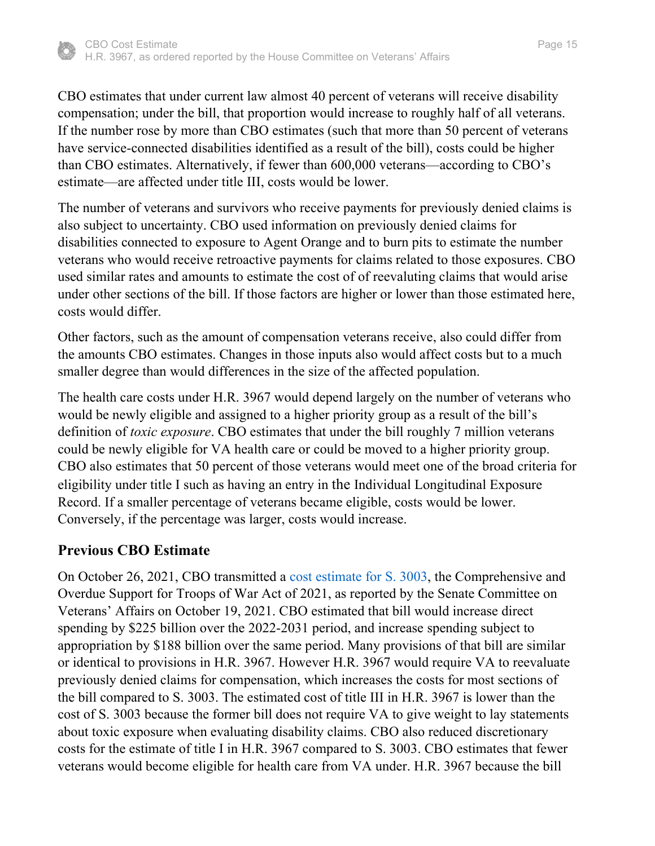

CBO estimates that under current law almost 40 percent of veterans will receive disability compensation; under the bill, that proportion would increase to roughly half of all veterans. If the number rose by more than CBO estimates (such that more than 50 percent of veterans have service-connected disabilities identified as a result of the bill), costs could be higher than CBO estimates. Alternatively, if fewer than 600,000 veterans—according to CBO's estimate—are affected under title III, costs would be lower.

The number of veterans and survivors who receive payments for previously denied claims is also subject to uncertainty. CBO used information on previously denied claims for disabilities connected to exposure to Agent Orange and to burn pits to estimate the number veterans who would receive retroactive payments for claims related to those exposures. CBO used similar rates and amounts to estimate the cost of of reevaluting claims that would arise under other sections of the bill. If those factors are higher or lower than those estimated here, costs would differ.

Other factors, such as the amount of compensation veterans receive, also could differ from the amounts CBO estimates. Changes in those inputs also would affect costs but to a much smaller degree than would differences in the size of the affected population.

The health care costs under H.R. 3967 would depend largely on the number of veterans who would be newly eligible and assigned to a higher priority group as a result of the bill's definition of *toxic exposure*. CBO estimates that under the bill roughly 7 million veterans could be newly eligible for VA health care or could be moved to a higher priority group. CBO also estimates that 50 percent of those veterans would meet one of the broad criteria for eligibility under title I such as having an entry in the Individual Longitudinal Exposure Record. If a smaller percentage of veterans became eligible, costs would be lower. Conversely, if the percentage was larger, costs would increase.

## **Previous CBO Estimate**

On October 26, 2021, CBO transmitted a [cost estimate for S. 3003,](https://www.cbo.gov/publication/57576) the Comprehensive and Overdue Support for Troops of War Act of 2021, as reported by the Senate Committee on Veterans' Affairs on October 19, 2021. CBO estimated that bill would increase direct spending by \$225 billion over the 2022-2031 period, and increase spending subject to appropriation by \$188 billion over the same period. Many provisions of that bill are similar or identical to provisions in H.R. 3967. However H.R. 3967 would require VA to reevaluate previously denied claims for compensation, which increases the costs for most sections of the bill compared to S. 3003. The estimated cost of title III in H.R. 3967 is lower than the cost of S. 3003 because the former bill does not require VA to give weight to lay statements about toxic exposure when evaluating disability claims. CBO also reduced discretionary costs for the estimate of title I in H.R. 3967 compared to S. 3003. CBO estimates that fewer veterans would become eligible for health care from VA under. H.R. 3967 because the bill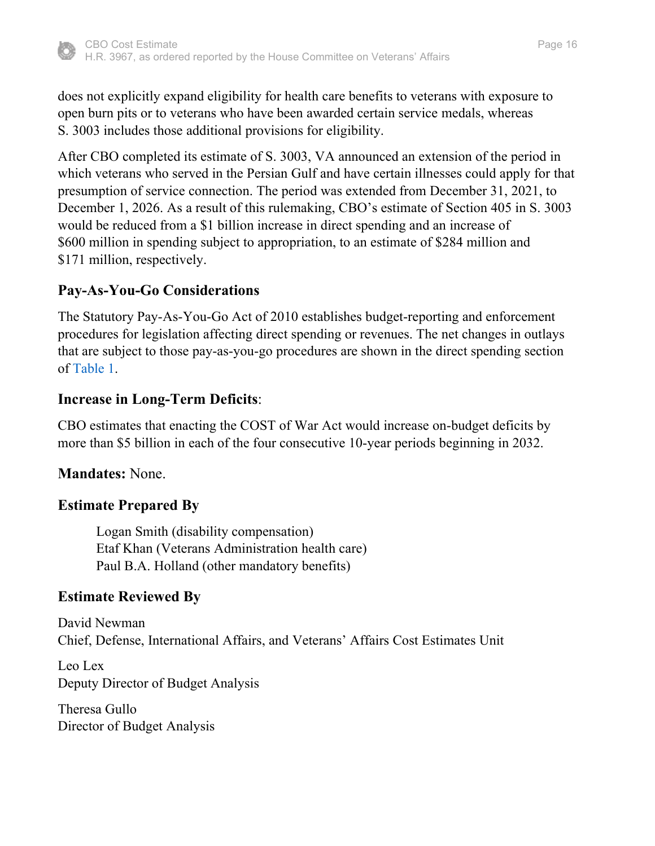

does not explicitly expand eligibility for health care benefits to veterans with exposure to open burn pits or to veterans who have been awarded certain service medals, whereas S. 3003 includes those additional provisions for eligibility.

After CBO completed its estimate of S. 3003, VA announced an extension of the period in which veterans who served in the Persian Gulf and have certain illnesses could apply for that presumption of service connection. The period was extended from December 31, 2021, to December 1, 2026. As a result of this rulemaking, CBO's estimate of Section 405 in S. 3003 would be reduced from a \$1 billion increase in direct spending and an increase of \$600 million in spending subject to appropriation, to an estimate of \$284 million and \$171 million, respectively.

# **Pay-As-You-Go Considerations**

The Statutory Pay-As-You-Go Act of 2010 establishes budget-reporting and enforcement procedures for legislation affecting direct spending or revenues. The net changes in outlays that are subject to those pay-as-you-go procedures are shown in the direct spending section of [Table 1.](#page-16-0)

# **Increase in Long-Term Deficits**:

CBO estimates that enacting the COST of War Act would increase on-budget deficits by more than \$5 billion in each of the four consecutive 10-year periods beginning in 2032.

# **Mandates:** None.

# **Estimate Prepared By**

Logan Smith (disability compensation) Etaf Khan (Veterans Administration health care) Paul B.A. Holland (other mandatory benefits)

# **Estimate Reviewed By**

David Newman Chief, Defense, International Affairs, and Veterans' Affairs Cost Estimates Unit

Leo Lex Deputy Director of Budget Analysis

Theresa Gullo Director of Budget Analysis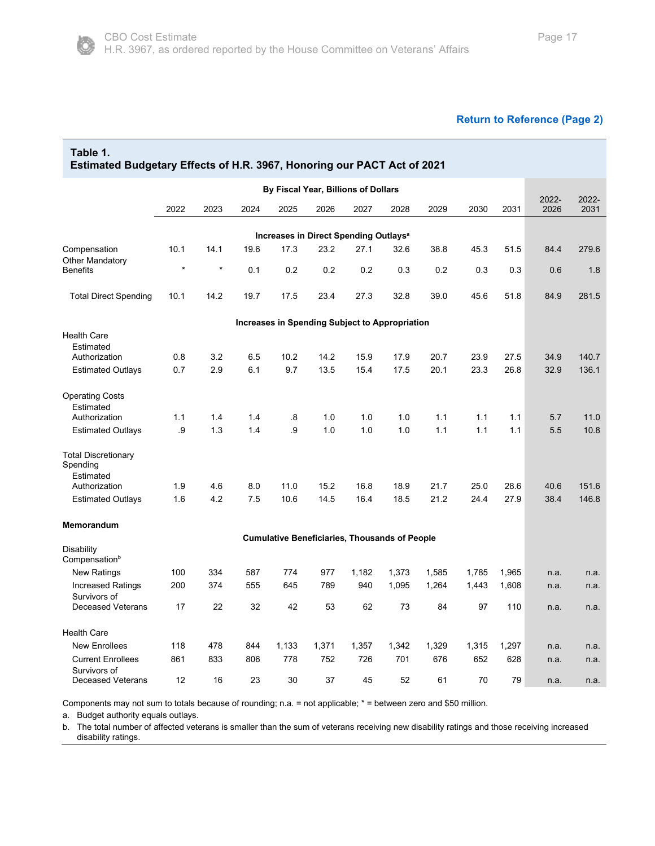<span id="page-16-0"></span>

| Table 1.<br><b>Estimated Budgetary Effects of H.R. 3967, Honoring our PACT Act of 2021</b> |         |         |      |       |                                                      |       |       |       |       |       |               |               |
|--------------------------------------------------------------------------------------------|---------|---------|------|-------|------------------------------------------------------|-------|-------|-------|-------|-------|---------------|---------------|
|                                                                                            |         |         |      |       | By Fiscal Year, Billions of Dollars                  |       |       |       |       |       |               |               |
|                                                                                            | 2022    | 2023    | 2024 | 2025  | 2026                                                 | 2027  | 2028  | 2029  | 2030  | 2031  | 2022-<br>2026 | 2022-<br>2031 |
|                                                                                            |         |         |      |       |                                                      |       |       |       |       |       |               |               |
|                                                                                            |         |         |      |       | Increases in Direct Spending Outlays <sup>a</sup>    |       |       |       |       |       |               |               |
| Compensation                                                                               | 10.1    | 14.1    | 19.6 | 17.3  | 23.2                                                 | 27.1  | 32.6  | 38.8  | 45.3  | 51.5  | 84.4          | 279.6         |
| Other Mandatory<br>Benefits                                                                | $\star$ | $\star$ | 0.1  | 0.2   | 0.2                                                  | 0.2   | 0.3   | 0.2   | 0.3   | 0.3   | 0.6           | 1.8           |
| <b>Total Direct Spending</b>                                                               | 10.1    | 14.2    | 19.7 | 17.5  | 23.4                                                 | 27.3  | 32.8  | 39.0  | 45.6  | 51.8  | 84.9          | 281.5         |
|                                                                                            |         |         |      |       | Increases in Spending Subject to Appropriation       |       |       |       |       |       |               |               |
| <b>Health Care</b>                                                                         |         |         |      |       |                                                      |       |       |       |       |       |               |               |
| Estimated                                                                                  |         |         |      |       |                                                      |       |       |       |       |       |               |               |
| Authorization                                                                              | 0.8     | 3.2     | 6.5  | 10.2  | 14.2                                                 | 15.9  | 17.9  | 20.7  | 23.9  | 27.5  | 34.9          | 140.7         |
| <b>Estimated Outlays</b>                                                                   | 0.7     | 2.9     | 6.1  | 9.7   | 13.5                                                 | 15.4  | 17.5  | 20.1  | 23.3  | 26.8  | 32.9          | 136.1         |
| <b>Operating Costs</b><br>Estimated                                                        |         |         |      |       |                                                      |       |       |       |       |       |               |               |
| Authorization                                                                              | 1.1     | 1.4     | 1.4  | .8    | 1.0                                                  | 1.0   | 1.0   | 1.1   | 1.1   | 1.1   | 5.7           | 11.0          |
| <b>Estimated Outlays</b>                                                                   | .9      | 1.3     | 1.4  | .9    | 1.0                                                  | 1.0   | 1.0   | 1.1   | 1.1   | 1.1   | 5.5           | 10.8          |
| <b>Total Discretionary</b><br>Spending<br>Estimated                                        |         |         |      |       |                                                      |       |       |       |       |       |               |               |
| Authorization                                                                              | 1.9     | 4.6     | 8.0  | 11.0  | 15.2                                                 | 16.8  | 18.9  | 21.7  | 25.0  | 28.6  | 40.6          | 151.6         |
| <b>Estimated Outlays</b>                                                                   | 1.6     | 4.2     | 7.5  | 10.6  | 14.5                                                 | 16.4  | 18.5  | 21.2  | 24.4  | 27.9  | 38.4          | 146.8         |
| Memorandum                                                                                 |         |         |      |       |                                                      |       |       |       |       |       |               |               |
|                                                                                            |         |         |      |       | <b>Cumulative Beneficiaries, Thousands of People</b> |       |       |       |       |       |               |               |
| Disability<br>Compensation <sup>b</sup>                                                    |         |         |      |       |                                                      |       |       |       |       |       |               |               |
| <b>New Ratings</b>                                                                         | 100     | 334     | 587  | 774   | 977                                                  | 1,182 | 1,373 | 1,585 | 1,785 | 1,965 | n.a.          | n.a.          |
| Increased Ratings<br>Survivors of                                                          | 200     | 374     | 555  | 645   | 789                                                  | 940   | 1,095 | 1,264 | 1,443 | 1,608 | n.a.          | n.a.          |
| <b>Deceased Veterans</b>                                                                   | 17      | 22      | 32   | 42    | 53                                                   | 62    | 73    | 84    | 97    | 110   | n.a.          | n.a.          |
| Health Care                                                                                |         |         |      |       |                                                      |       |       |       |       |       |               |               |
| <b>New Enrollees</b>                                                                       | 118     | 478     | 844  | 1,133 | 1,371                                                | 1,357 | 1,342 | 1,329 | 1,315 | 1,297 | n.a.          | n.a.          |
| <b>Current Enrollees</b><br>Survivors of                                                   | 861     | 833     | 806  | 778   | 752                                                  | 726   | 701   | 676   | 652   | 628   | n.a.          | n.a.          |

Components may not sum to totals because of rounding; n.a. = not applicable; \* = between zero and \$50 million.

a. Budget authority equals outlays.

b. The total number of affected veterans is smaller than the sum of veterans receiving new disability ratings and those receiving increased disability ratings.

Deceased Veterans 12 16 23 30 37 45 52 61 70 79 n.a. n.a.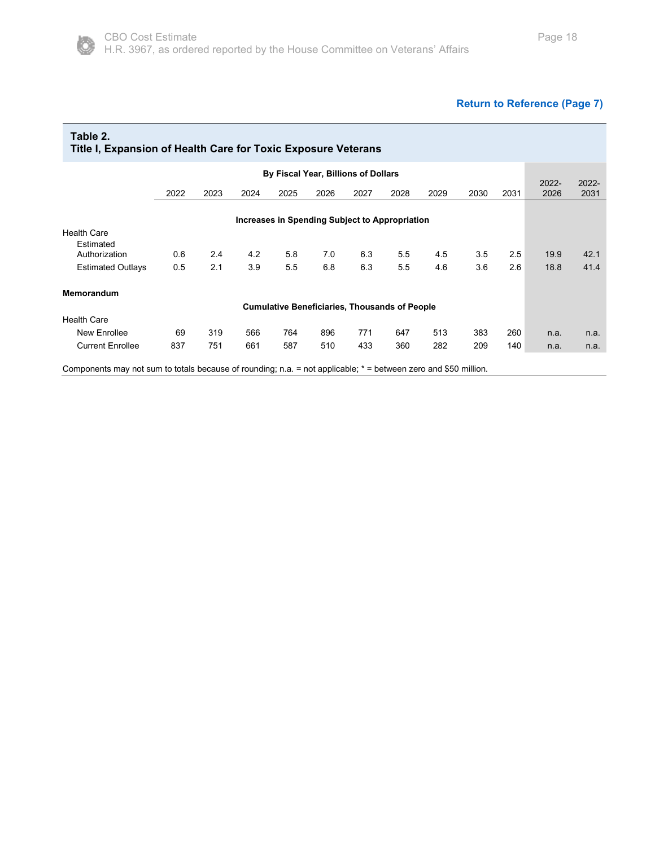### **[Return to Reference \(Page 7\)](#page-6-0)**

<span id="page-17-0"></span>

| Table 2.<br>Title I, Expansion of Health Care for Toxic Exposure Veterans |      |      |      |      |                                     |      |                                                      |      |      |      |               |                  |
|---------------------------------------------------------------------------|------|------|------|------|-------------------------------------|------|------------------------------------------------------|------|------|------|---------------|------------------|
|                                                                           |      |      |      |      | By Fiscal Year, Billions of Dollars |      |                                                      |      |      |      |               |                  |
|                                                                           | 2022 | 2023 | 2024 | 2025 | 2026                                | 2027 | 2028                                                 | 2029 | 2030 | 2031 | 2022-<br>2026 | $2022 -$<br>2031 |
|                                                                           |      |      |      |      |                                     |      | Increases in Spending Subject to Appropriation       |      |      |      |               |                  |
| <b>Health Care</b>                                                        |      |      |      |      |                                     |      |                                                      |      |      |      |               |                  |
| Estimated                                                                 |      |      |      |      |                                     |      |                                                      |      |      |      |               |                  |
| Authorization                                                             | 0.6  | 2.4  | 4.2  | 5.8  | 7.0                                 | 6.3  | 5.5                                                  | 4.5  | 3.5  | 2.5  | 19.9          | 42.1             |
| <b>Estimated Outlays</b>                                                  | 0.5  | 2.1  | 3.9  | 5.5  | 6.8                                 | 6.3  | 5.5                                                  | 4.6  | 3.6  | 2.6  | 18.8          | 41.4             |
| Memorandum                                                                |      |      |      |      |                                     |      |                                                      |      |      |      |               |                  |
|                                                                           |      |      |      |      |                                     |      | <b>Cumulative Beneficiaries, Thousands of People</b> |      |      |      |               |                  |
| <b>Health Care</b>                                                        |      |      |      |      |                                     |      |                                                      |      |      |      |               |                  |
| New Enrollee                                                              | 69   | 319  | 566  | 764  | 896                                 | 771  | 647                                                  | 513  | 383  | 260  | n.a.          | n.a.             |
| <b>Current Enrollee</b>                                                   | 837  | 751  | 661  | 587  | 510                                 | 433  | 360                                                  | 282  | 209  | 140  | n.a.          | n.a.             |
|                                                                           |      |      |      |      |                                     |      |                                                      |      |      |      |               |                  |

Components may not sum to totals because of rounding; n.a. = not applicable; \* = between zero and \$50 million.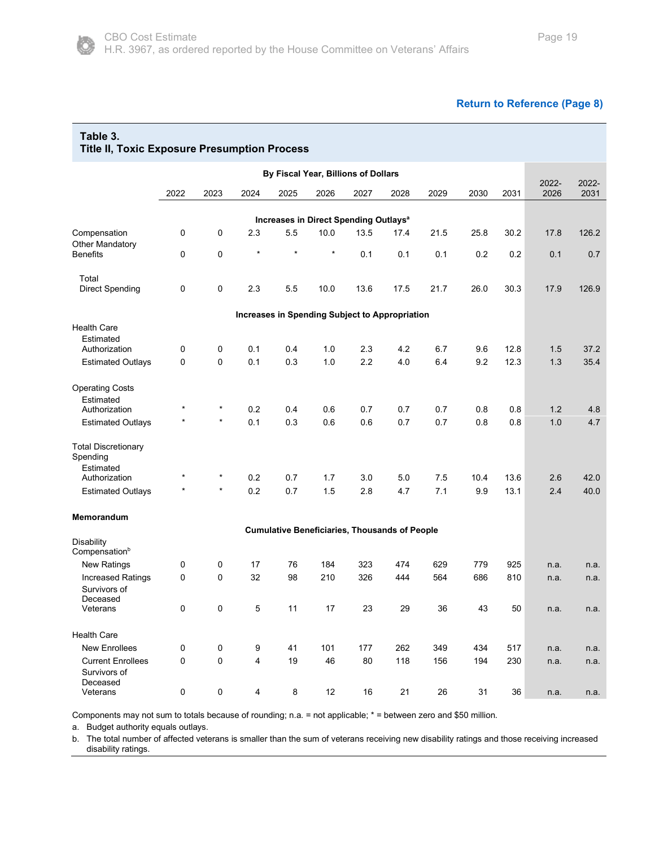#### **[Return to Reference \(Page 8\)](#page-7-0)**

<span id="page-18-0"></span>

| Table 3.<br><b>Title II, Toxic Exposure Presumption Process</b> |           |         |         |         |                                                      |      |      |      |      |      |               |               |
|-----------------------------------------------------------------|-----------|---------|---------|---------|------------------------------------------------------|------|------|------|------|------|---------------|---------------|
|                                                                 |           |         |         |         | By Fiscal Year, Billions of Dollars                  |      |      |      |      |      |               |               |
|                                                                 | 2022      | 2023    | 2024    | 2025    | 2026                                                 | 2027 | 2028 | 2029 | 2030 | 2031 | 2022-<br>2026 | 2022-<br>2031 |
|                                                                 |           |         |         |         |                                                      |      |      |      |      |      |               |               |
|                                                                 |           |         |         |         | Increases in Direct Spending Outlays <sup>a</sup>    |      |      |      |      |      |               |               |
| Compensation<br><b>Other Mandatory</b>                          | 0         | 0       | 2.3     | 5.5     | 10.0                                                 | 13.5 | 17.4 | 21.5 | 25.8 | 30.2 | 17.8          | 126.2         |
| <b>Benefits</b>                                                 | 0         | 0       | $\star$ | $\star$ | $\star$                                              | 0.1  | 0.1  | 0.1  | 0.2  | 0.2  | 0.1           | 0.7           |
| Total                                                           |           |         |         |         |                                                      |      |      |      |      |      |               |               |
| <b>Direct Spending</b>                                          | 0         | 0       | 2.3     | 5.5     | 10.0                                                 | 13.6 | 17.5 | 21.7 | 26.0 | 30.3 | 17.9          | 126.9         |
|                                                                 |           |         |         |         | Increases in Spending Subject to Appropriation       |      |      |      |      |      |               |               |
| <b>Health Care</b>                                              |           |         |         |         |                                                      |      |      |      |      |      |               |               |
| Estimated<br>Authorization                                      | 0         | 0       | 0.1     | 0.4     | 1.0                                                  | 2.3  | 4.2  | 6.7  | 9.6  | 12.8 | 1.5           | 37.2          |
| <b>Estimated Outlays</b>                                        | 0         | 0       | 0.1     | 0.3     | 1.0                                                  | 2.2  | 4.0  | 6.4  | 9.2  | 12.3 | 1.3           | 35.4          |
|                                                                 |           |         |         |         |                                                      |      |      |      |      |      |               |               |
| <b>Operating Costs</b><br>Estimated                             |           |         |         |         |                                                      |      |      |      |      |      |               |               |
| Authorization                                                   |           | $^\ast$ | 0.2     | 0.4     | 0.6                                                  | 0.7  | 0.7  | 0.7  | 0.8  | 0.8  | 1.2           | 4.8           |
| <b>Estimated Outlays</b>                                        |           | $\star$ | 0.1     | 0.3     | 0.6                                                  | 0.6  | 0.7  | 0.7  | 0.8  | 0.8  | 1.0           | 4.7           |
| <b>Total Discretionary</b><br>Spending                          |           |         |         |         |                                                      |      |      |      |      |      |               |               |
| Estimated                                                       |           |         |         |         |                                                      |      |      |      |      |      |               |               |
| Authorization                                                   |           |         | 0.2     | 0.7     | 1.7                                                  | 3.0  | 5.0  | 7.5  | 10.4 | 13.6 | 2.6           | 42.0          |
| <b>Estimated Outlays</b>                                        |           |         | 0.2     | 0.7     | 1.5                                                  | 2.8  | 4.7  | 7.1  | 9.9  | 13.1 | 2.4           | 40.0          |
| Memorandum                                                      |           |         |         |         |                                                      |      |      |      |      |      |               |               |
| Disability                                                      |           |         |         |         | <b>Cumulative Beneficiaries, Thousands of People</b> |      |      |      |      |      |               |               |
| Compensation <sup>b</sup>                                       |           |         |         |         |                                                      |      |      |      |      |      |               |               |
| <b>New Ratings</b>                                              | 0         | 0       | 17      | 76      | 184                                                  | 323  | 474  | 629  | 779  | 925  | n.a.          | n.a.          |
| <b>Increased Ratings</b>                                        | 0         | 0       | 32      | 98      | 210                                                  | 326  | 444  | 564  | 686  | 810  | n.a.          | n.a.          |
| Survivors of                                                    |           |         |         |         |                                                      |      |      |      |      |      |               |               |
| Deceased<br>Veterans                                            | 0         | 0       | 5       | 11      | 17                                                   | 23   | 29   | 36   | 43   | 50   | n.a.          | n.a.          |
|                                                                 |           |         |         |         |                                                      |      |      |      |      |      |               |               |
| <b>Health Care</b>                                              |           |         |         |         |                                                      |      |      |      |      |      |               |               |
| <b>New Enrollees</b>                                            | $\pmb{0}$ | 0       | 9       | 41      | 101                                                  | 177  | 262  | 349  | 434  | 517  | n.a.          | n.a.          |
| <b>Current Enrollees</b><br>Survivors of<br>Deceased            | 0         | 0       | 4       | 19      | 46                                                   | 80   | 118  | 156  | 194  | 230  | n.a.          | n.a.          |
| Veterans                                                        | 0         | 0       | 4       | $\bf 8$ | 12                                                   | 16   | 21   | 26   | 31   | 36   | n.a.          | n.a.          |

Components may not sum to totals because of rounding; n.a. = not applicable; \* = between zero and \$50 million.

a. Budget authority equals outlays.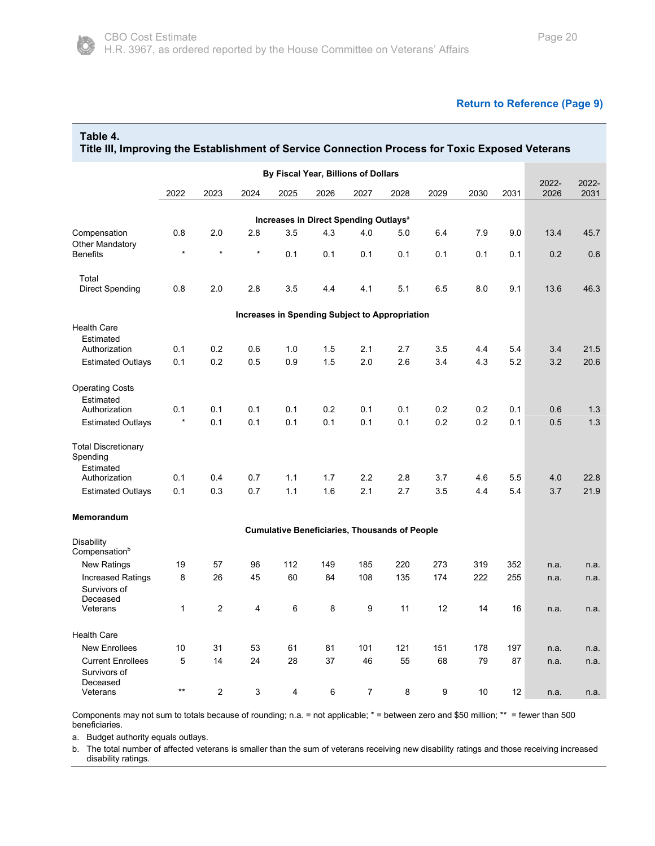

#### **[Return to Reference \(Page 9\)](#page-8-0)**

<span id="page-19-0"></span>**Table 4.** 

| By Fiscal Year, Billions of Dollars<br>2022-<br>2022<br>2023<br>2024<br>2025<br>2026<br>2027<br>2028<br>2029<br>2030<br>2031<br>2026<br>Increases in Direct Spending Outlays <sup>a</sup><br>2.0<br>2.8<br>3.5<br>4.3<br>Compensation<br>0.8<br>4.0<br>5.0<br>6.4<br>7.9<br>9.0<br>13.4<br><b>Other Mandatory</b><br>$\star$<br>$\star$<br>$^{\star}$<br><b>Benefits</b><br>0.1<br>0.1<br>0.1<br>0.1<br>0.1<br>0.1<br>0.1<br>0.2<br>Total<br>5.1<br>Direct Spending<br>0.8<br>2.0<br>2.8<br>3.5<br>4.1<br>6.5<br>8.0<br>9.1<br>13.6<br>4.4 |               |  |  |  |  |  |  |  |  |  |  |  | Title III, Improving the Establishment of Service Connection Process for Toxic Exposed Veterans |  |  |
|--------------------------------------------------------------------------------------------------------------------------------------------------------------------------------------------------------------------------------------------------------------------------------------------------------------------------------------------------------------------------------------------------------------------------------------------------------------------------------------------------------------------------------------------|---------------|--|--|--|--|--|--|--|--|--|--|--|-------------------------------------------------------------------------------------------------|--|--|
|                                                                                                                                                                                                                                                                                                                                                                                                                                                                                                                                            |               |  |  |  |  |  |  |  |  |  |  |  |                                                                                                 |  |  |
|                                                                                                                                                                                                                                                                                                                                                                                                                                                                                                                                            | 2022-<br>2031 |  |  |  |  |  |  |  |  |  |  |  |                                                                                                 |  |  |
|                                                                                                                                                                                                                                                                                                                                                                                                                                                                                                                                            |               |  |  |  |  |  |  |  |  |  |  |  |                                                                                                 |  |  |
|                                                                                                                                                                                                                                                                                                                                                                                                                                                                                                                                            | 45.7          |  |  |  |  |  |  |  |  |  |  |  |                                                                                                 |  |  |
|                                                                                                                                                                                                                                                                                                                                                                                                                                                                                                                                            |               |  |  |  |  |  |  |  |  |  |  |  |                                                                                                 |  |  |
|                                                                                                                                                                                                                                                                                                                                                                                                                                                                                                                                            | 0.6           |  |  |  |  |  |  |  |  |  |  |  |                                                                                                 |  |  |
|                                                                                                                                                                                                                                                                                                                                                                                                                                                                                                                                            |               |  |  |  |  |  |  |  |  |  |  |  |                                                                                                 |  |  |
|                                                                                                                                                                                                                                                                                                                                                                                                                                                                                                                                            | 46.3          |  |  |  |  |  |  |  |  |  |  |  |                                                                                                 |  |  |
| <b>Increases in Spending Subject to Appropriation</b>                                                                                                                                                                                                                                                                                                                                                                                                                                                                                      |               |  |  |  |  |  |  |  |  |  |  |  |                                                                                                 |  |  |
| <b>Health Care</b>                                                                                                                                                                                                                                                                                                                                                                                                                                                                                                                         |               |  |  |  |  |  |  |  |  |  |  |  |                                                                                                 |  |  |
| Estimated<br>0.1<br>0.2<br>1.0<br>1.5<br>2.7<br>3.5<br>4.4<br>5.4<br>3.4<br>Authorization<br>0.6<br>2.1                                                                                                                                                                                                                                                                                                                                                                                                                                    | 21.5          |  |  |  |  |  |  |  |  |  |  |  |                                                                                                 |  |  |
| <b>Estimated Outlays</b><br>0.1<br>0.2<br>0.5<br>0.9<br>1.5<br>2.0<br>2.6<br>3.4<br>4.3<br>5.2<br>3.2                                                                                                                                                                                                                                                                                                                                                                                                                                      | 20.6          |  |  |  |  |  |  |  |  |  |  |  |                                                                                                 |  |  |
|                                                                                                                                                                                                                                                                                                                                                                                                                                                                                                                                            |               |  |  |  |  |  |  |  |  |  |  |  |                                                                                                 |  |  |
| <b>Operating Costs</b>                                                                                                                                                                                                                                                                                                                                                                                                                                                                                                                     |               |  |  |  |  |  |  |  |  |  |  |  |                                                                                                 |  |  |
| Estimated                                                                                                                                                                                                                                                                                                                                                                                                                                                                                                                                  |               |  |  |  |  |  |  |  |  |  |  |  |                                                                                                 |  |  |
| 0.1<br>0.1<br>0.1<br>0.1<br>0.2<br>0.1<br>0.1<br>0.2<br>0.2<br>0.1<br>0.6<br>Authorization<br>$\star$<br>0.1<br>0.2<br>0.2<br>0.1<br>0.1<br>0.1<br>0.1<br>0.1<br>0.1<br>0.5<br><b>Estimated Outlays</b>                                                                                                                                                                                                                                                                                                                                    | 1.3<br>1.3    |  |  |  |  |  |  |  |  |  |  |  |                                                                                                 |  |  |
|                                                                                                                                                                                                                                                                                                                                                                                                                                                                                                                                            |               |  |  |  |  |  |  |  |  |  |  |  |                                                                                                 |  |  |
| <b>Total Discretionary</b><br>Spending<br>Estimated                                                                                                                                                                                                                                                                                                                                                                                                                                                                                        |               |  |  |  |  |  |  |  |  |  |  |  |                                                                                                 |  |  |
| 0.1<br>0.4<br>0.7<br>1.1<br>1.7<br>2.2<br>2.8<br>3.7<br>4.6<br>5.5<br>4.0<br>Authorization                                                                                                                                                                                                                                                                                                                                                                                                                                                 | 22.8          |  |  |  |  |  |  |  |  |  |  |  |                                                                                                 |  |  |
| 0.1<br>0.3<br>0.7<br>1.1<br>1.6<br>2.1<br>2.7<br>3.5<br>4.4<br>5.4<br>3.7<br><b>Estimated Outlays</b>                                                                                                                                                                                                                                                                                                                                                                                                                                      | 21.9          |  |  |  |  |  |  |  |  |  |  |  |                                                                                                 |  |  |
| <b>Memorandum</b>                                                                                                                                                                                                                                                                                                                                                                                                                                                                                                                          |               |  |  |  |  |  |  |  |  |  |  |  |                                                                                                 |  |  |
| <b>Cumulative Beneficiaries, Thousands of People</b>                                                                                                                                                                                                                                                                                                                                                                                                                                                                                       |               |  |  |  |  |  |  |  |  |  |  |  |                                                                                                 |  |  |
| Disability<br>Compensation <sup>b</sup>                                                                                                                                                                                                                                                                                                                                                                                                                                                                                                    |               |  |  |  |  |  |  |  |  |  |  |  |                                                                                                 |  |  |
| 220<br>273<br>352<br><b>New Ratings</b><br>19<br>57<br>96<br>112<br>149<br>185<br>319<br>n.a.                                                                                                                                                                                                                                                                                                                                                                                                                                              | n.a.          |  |  |  |  |  |  |  |  |  |  |  |                                                                                                 |  |  |
| <b>Increased Ratings</b><br>8<br>26<br>45<br>60<br>84<br>108<br>135<br>174<br>222<br>255<br>n.a.<br>Survivors of                                                                                                                                                                                                                                                                                                                                                                                                                           | n.a.          |  |  |  |  |  |  |  |  |  |  |  |                                                                                                 |  |  |
| Deceased<br>$\mathbf{1}$<br>2<br>$\overline{4}$<br>6<br>8<br>9<br>11<br>12<br>14<br>Veterans<br>16<br>n.a.                                                                                                                                                                                                                                                                                                                                                                                                                                 | n.a.          |  |  |  |  |  |  |  |  |  |  |  |                                                                                                 |  |  |
| <b>Health Care</b>                                                                                                                                                                                                                                                                                                                                                                                                                                                                                                                         |               |  |  |  |  |  |  |  |  |  |  |  |                                                                                                 |  |  |
| 121<br><b>New Enrollees</b><br>10<br>31<br>53<br>61<br>81<br>101<br>151<br>178<br>197<br>n.a.                                                                                                                                                                                                                                                                                                                                                                                                                                              | n.a.          |  |  |  |  |  |  |  |  |  |  |  |                                                                                                 |  |  |
| 5<br>37<br><b>Current Enrollees</b><br>14<br>24<br>28<br>46<br>55<br>68<br>79<br>87<br>n.a.<br>Survivors of                                                                                                                                                                                                                                                                                                                                                                                                                                | n.a.          |  |  |  |  |  |  |  |  |  |  |  |                                                                                                 |  |  |
| $***$<br>$\overline{2}$<br>3<br>4<br>6<br>7<br>8<br>9<br>10<br>12<br>Veterans<br>n.a.                                                                                                                                                                                                                                                                                                                                                                                                                                                      |               |  |  |  |  |  |  |  |  |  |  |  | Deceased                                                                                        |  |  |

Components may not sum to totals because of rounding; n.a. = not applicable; \* = between zero and \$50 million; \*\* = fewer than 500 beneficiaries.

a. Budget authority equals outlays.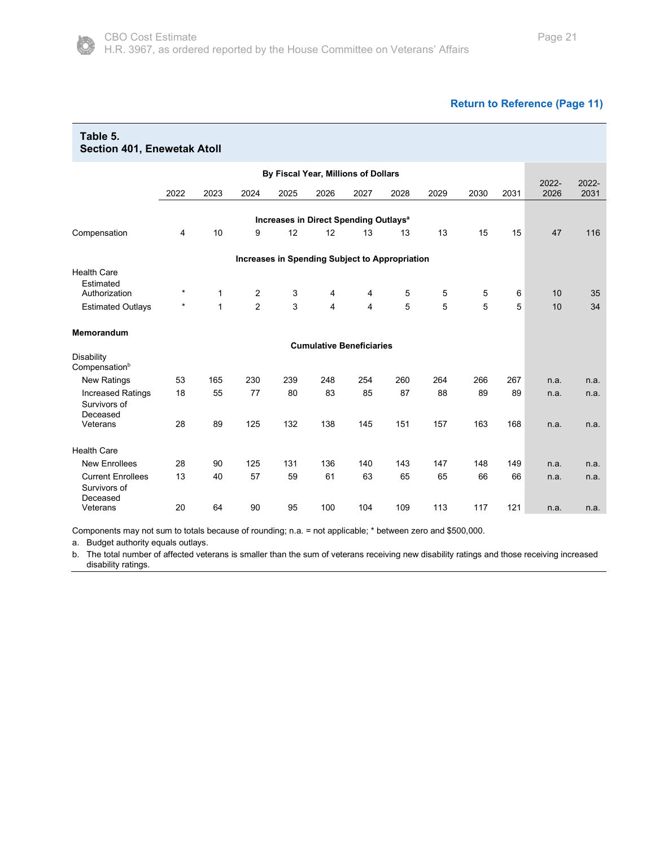

<span id="page-20-0"></span>

| Table 5.<br><b>Section 401, Enewetak Atoll</b>       |         |              |                |      |      |                                                   |      |      |      |      |               |               |
|------------------------------------------------------|---------|--------------|----------------|------|------|---------------------------------------------------|------|------|------|------|---------------|---------------|
|                                                      |         |              |                |      |      | By Fiscal Year, Millions of Dollars               |      |      |      |      |               |               |
|                                                      | 2022    | 2023         | 2024           | 2025 | 2026 | 2027                                              | 2028 | 2029 | 2030 | 2031 | 2022-<br>2026 | 2022-<br>2031 |
|                                                      |         |              |                |      |      | Increases in Direct Spending Outlays <sup>a</sup> |      |      |      |      |               |               |
| Compensation                                         | 4       | 10           | 9              | 12   | 12   | 13                                                | 13   | 13   | 15   | 15   | 47            | 116           |
|                                                      |         |              |                |      |      | Increases in Spending Subject to Appropriation    |      |      |      |      |               |               |
| <b>Health Care</b><br>Estimated<br>Authorization     | $\star$ | 1            | 2              | 3    | 4    | 4                                                 | 5    | 5    | 5    | 6    | 10            | 35            |
| <b>Estimated Outlays</b>                             | *       | $\mathbf{1}$ | $\overline{2}$ | 3    | 4    | 4                                                 | 5    | 5    | 5    | 5    | 10            | 34            |
| Memorandum                                           |         |              |                |      |      |                                                   |      |      |      |      |               |               |
|                                                      |         |              |                |      |      | <b>Cumulative Beneficiaries</b>                   |      |      |      |      |               |               |
| Disability<br>Compensation <sup>b</sup>              |         |              |                |      |      |                                                   |      |      |      |      |               |               |
| <b>New Ratings</b>                                   | 53      | 165          | 230            | 239  | 248  | 254                                               | 260  | 264  | 266  | 267  | n.a.          | n.a.          |
| <b>Increased Ratings</b><br>Survivors of<br>Deceased | 18      | 55           | 77             | 80   | 83   | 85                                                | 87   | 88   | 89   | 89   | n.a.          | n.a.          |
| Veterans                                             | 28      | 89           | 125            | 132  | 138  | 145                                               | 151  | 157  | 163  | 168  | n.a.          | n.a.          |
| <b>Health Care</b>                                   |         |              |                |      |      |                                                   |      |      |      |      |               |               |
| <b>New Enrollees</b>                                 | 28      | 90           | 125            | 131  | 136  | 140                                               | 143  | 147  | 148  | 149  | n.a.          | n.a.          |
| <b>Current Enrollees</b><br>Survivors of<br>Deceased | 13      | 40           | 57             | 59   | 61   | 63                                                | 65   | 65   | 66   | 66   | n.a.          | n.a.          |
| Veterans                                             | 20      | 64           | 90             | 95   | 100  | 104                                               | 109  | 113  | 117  | 121  | n.a.          | n.a.          |

Components may not sum to totals because of rounding; n.a. = not applicable; \* between zero and \$500,000.

a. Budget authority equals outlays.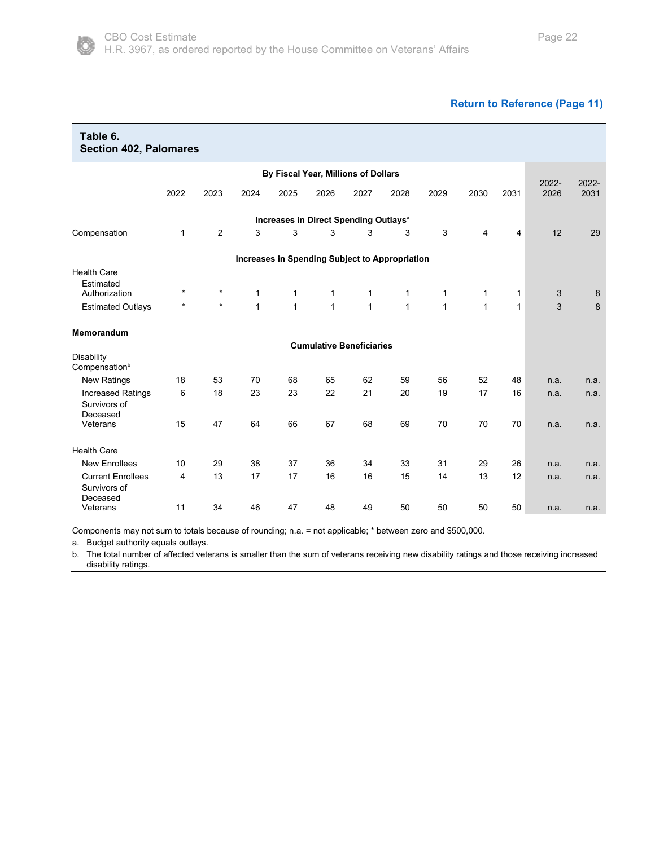

<span id="page-21-0"></span>

| Table 6.<br><b>Section 402, Palomares</b>            |          |         |              |              |              |                                                   |              |              |              |              |               |               |
|------------------------------------------------------|----------|---------|--------------|--------------|--------------|---------------------------------------------------|--------------|--------------|--------------|--------------|---------------|---------------|
|                                                      |          |         |              |              |              | By Fiscal Year, Millions of Dollars               |              |              |              |              |               |               |
|                                                      | 2022     | 2023    | 2024         | 2025         | 2026         | 2027                                              | 2028         | 2029         | 2030         | 2031         | 2022-<br>2026 | 2022-<br>2031 |
|                                                      |          |         |              |              |              | Increases in Direct Spending Outlays <sup>a</sup> |              |              |              |              |               |               |
| Compensation                                         | 1        | 2       | 3            | 3            | 3            | 3                                                 | 3            | 3            | 4            | 4            | 12            | 29            |
|                                                      |          |         |              |              |              | Increases in Spending Subject to Appropriation    |              |              |              |              |               |               |
| <b>Health Care</b><br>Estimated<br>Authorization     | *        | $\star$ | $\mathbf{1}$ | 1            | $\mathbf{1}$ | 1                                                 | 1            | $\mathbf{1}$ | 1            | $\mathbf{1}$ | 3             | 8             |
| <b>Estimated Outlays</b>                             | $^\star$ | $\star$ | $\mathbf{1}$ | $\mathbf{1}$ | $\mathbf{1}$ | 1                                                 | $\mathbf{1}$ | $\mathbf{1}$ | $\mathbf{1}$ | $\mathbf{1}$ | 3             | 8             |
| Memorandum                                           |          |         |              |              |              |                                                   |              |              |              |              |               |               |
|                                                      |          |         |              |              |              | <b>Cumulative Beneficiaries</b>                   |              |              |              |              |               |               |
| <b>Disability</b><br>Compensation <sup>b</sup>       |          |         |              |              |              |                                                   |              |              |              |              |               |               |
| <b>New Ratings</b>                                   | 18       | 53      | 70           | 68           | 65           | 62                                                | 59           | 56           | 52           | 48           | n.a.          | n.a.          |
| <b>Increased Ratings</b><br>Survivors of<br>Deceased | 6        | 18      | 23           | 23           | 22           | 21                                                | 20           | 19           | 17           | 16           | n.a.          | n.a.          |
| Veterans                                             | 15       | 47      | 64           | 66           | 67           | 68                                                | 69           | 70           | 70           | 70           | n.a.          | n.a.          |
| <b>Health Care</b>                                   |          |         |              |              |              |                                                   |              |              |              |              |               |               |
| <b>New Enrollees</b>                                 | 10       | 29      | 38           | 37           | 36           | 34                                                | 33           | 31           | 29           | 26           | n.a.          | n.a.          |
| <b>Current Enrollees</b><br>Survivors of<br>Deceased | 4        | 13      | 17           | 17           | 16           | 16                                                | 15           | 14           | 13           | 12           | n.a.          | n.a.          |
| Veterans                                             | 11       | 34      | 46           | 47           | 48           | 49                                                | 50           | 50           | 50           | 50           | n.a.          | n.a.          |

Components may not sum to totals because of rounding; n.a. = not applicable; \* between zero and \$500,000.

a. Budget authority equals outlays.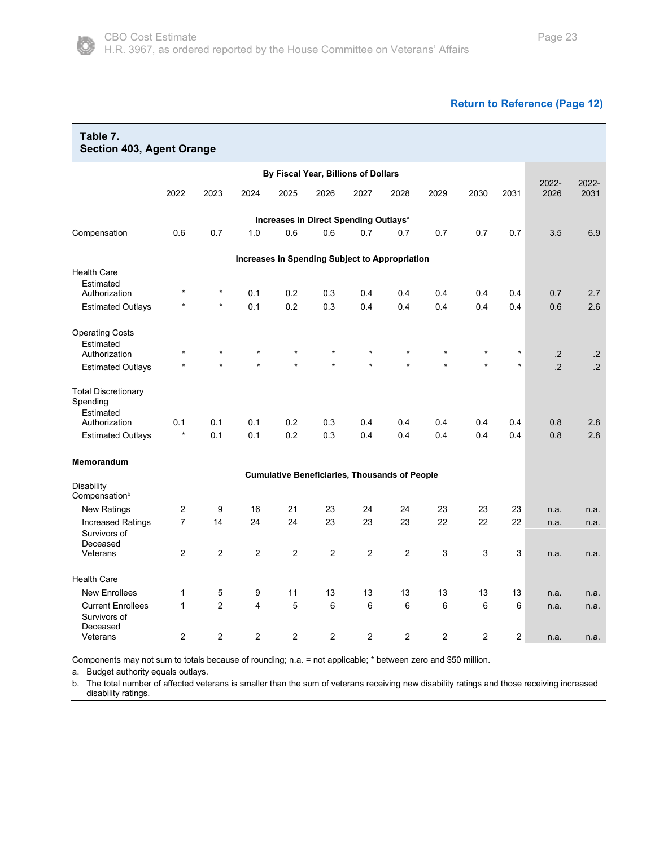#### **[Return to Reference \(Page 12\)](#page-11-0)**

<span id="page-22-0"></span>

| Table 7.<br><b>Section 403, Agent Orange</b>         |                |                |                |                                                      |                |                |      |      |         |         |               |               |
|------------------------------------------------------|----------------|----------------|----------------|------------------------------------------------------|----------------|----------------|------|------|---------|---------|---------------|---------------|
|                                                      |                |                |                | By Fiscal Year, Billions of Dollars                  |                |                |      |      |         |         |               |               |
|                                                      | 2022           | 2023           | 2024           | 2025                                                 | 2026           | 2027           | 2028 | 2029 | 2030    | 2031    | 2022-<br>2026 | 2022-<br>2031 |
|                                                      |                |                |                |                                                      |                |                |      |      |         |         |               |               |
|                                                      |                |                |                | Increases in Direct Spending Outlays <sup>a</sup>    |                |                |      |      |         |         |               |               |
| Compensation                                         | 0.6            | 0.7            | 1.0            | 0.6                                                  | 0.6            | 0.7            | 0.7  | 0.7  | 0.7     | 0.7     | 3.5           | 6.9           |
|                                                      |                |                |                | Increases in Spending Subject to Appropriation       |                |                |      |      |         |         |               |               |
| <b>Health Care</b>                                   |                |                |                |                                                      |                |                |      |      |         |         |               |               |
| Estimated                                            |                |                |                |                                                      |                |                |      |      |         |         |               |               |
| Authorization                                        |                | $^\star$       | 0.1            | 0.2                                                  | 0.3            | 0.4            | 0.4  | 0.4  | 0.4     | 0.4     | 0.7           | 2.7           |
| <b>Estimated Outlays</b>                             |                | $\star$        | 0.1            | 0.2                                                  | 0.3            | 0.4            | 0.4  | 0.4  | 0.4     | 0.4     | 0.6           | 2.6           |
| <b>Operating Costs</b>                               |                |                |                |                                                      |                |                |      |      |         |         |               |               |
| Estimated                                            |                |                |                |                                                      |                |                |      |      |         |         |               |               |
| Authorization                                        |                | $\star$        |                | $\star$                                              |                | $\star$        |      |      | $\star$ | $\star$ | $\cdot$       | $\cdot$ .2    |
| <b>Estimated Outlays</b>                             |                |                |                |                                                      |                |                |      |      |         | $\star$ | $\cdot$       | $\cdot$ .2    |
| <b>Total Discretionary</b><br>Spending<br>Estimated  |                |                |                |                                                      |                |                |      |      |         |         |               |               |
| Authorization                                        | 0.1            | 0.1            | 0.1            | 0.2                                                  | 0.3            | 0.4            | 0.4  | 0.4  | 0.4     | 0.4     | 0.8           | 2.8           |
| <b>Estimated Outlays</b>                             | $\star$        | 0.1            | 0.1            | 0.2                                                  | 0.3            | 0.4            | 0.4  | 0.4  | 0.4     | 0.4     | 0.8           | 2.8           |
| Memorandum                                           |                |                |                |                                                      |                |                |      |      |         |         |               |               |
|                                                      |                |                |                | <b>Cumulative Beneficiaries, Thousands of People</b> |                |                |      |      |         |         |               |               |
| Disability<br>Compensation <sup>b</sup>              |                |                |                |                                                      |                |                |      |      |         |         |               |               |
| <b>New Ratings</b>                                   | 2              | 9              | 16             | 21                                                   | 23             | 24             | 24   | 23   | 23      | 23      | n.a.          | n.a.          |
| <b>Increased Ratings</b><br>Survivors of<br>Deceased | $\overline{7}$ | 14             | 24             | 24                                                   | 23             | 23             | 23   | 22   | 22      | 22      | n.a.          | n.a.          |
| Veterans                                             | $\overline{c}$ | 2              | $\overline{c}$ | 2                                                    | $\overline{c}$ | $\overline{2}$ | 2    | 3    | 3       | 3       | n.a.          | n.a.          |
| <b>Health Care</b>                                   |                |                |                |                                                      |                |                |      |      |         |         |               |               |
| <b>New Enrollees</b>                                 | $\mathbf{1}$   | 5              | 9              | 11                                                   | 13             | 13             | 13   | 13   | 13      | 13      | n.a.          | n.a.          |
| <b>Current Enrollees</b><br>Survivors of<br>Deceased | $\mathbf{1}$   | $\overline{2}$ | 4              | 5                                                    | 6              | 6              | 6    | 6    | 6       | 6       | n.a.          | n.a.          |
| Veterans                                             | 2              | 2              | $\overline{2}$ | 2                                                    | 2              | 2              | 2    | 2    | 2       | 2       | n.a.          | n.a.          |

Components may not sum to totals because of rounding; n.a. = not applicable; \* between zero and \$50 million.

a. Budget authority equals outlays.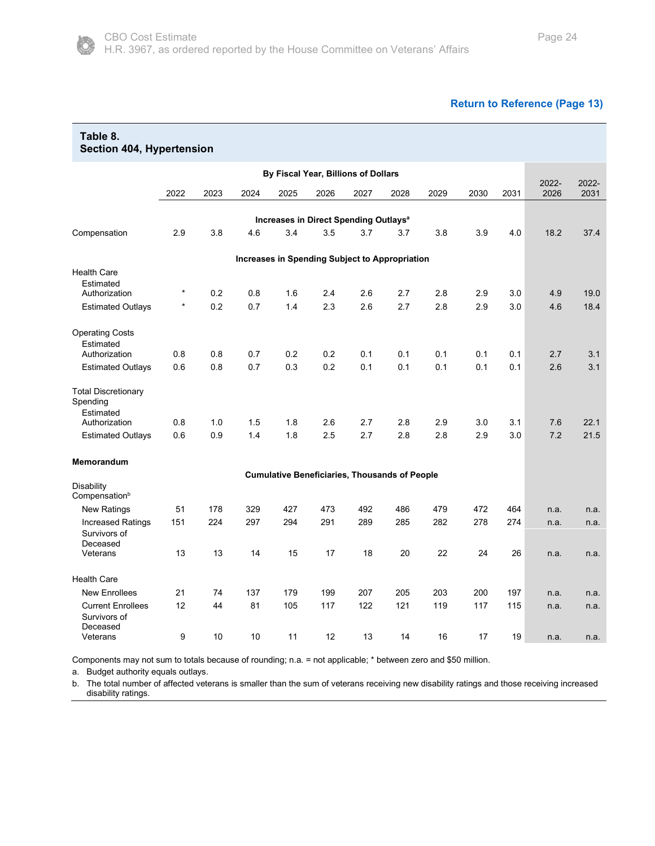#### **[Return to Reference \(Page 13\)](#page-12-0)**

<span id="page-23-0"></span>

| Table 8.<br>Section 404, Hypertension                |         |      |      |                                                      |      |      |      |      |      |      |               |               |
|------------------------------------------------------|---------|------|------|------------------------------------------------------|------|------|------|------|------|------|---------------|---------------|
|                                                      |         |      |      | By Fiscal Year, Billions of Dollars                  |      |      |      |      |      |      |               |               |
|                                                      | 2022    | 2023 | 2024 | 2025                                                 | 2026 | 2027 | 2028 | 2029 | 2030 | 2031 | 2022-<br>2026 | 2022-<br>2031 |
|                                                      |         |      |      |                                                      |      |      |      |      |      |      |               |               |
|                                                      |         |      |      | Increases in Direct Spending Outlays <sup>a</sup>    |      |      |      |      |      |      |               |               |
| Compensation                                         | 2.9     | 3.8  | 4.6  | 3.4                                                  | 3.5  | 3.7  | 3.7  | 3.8  | 3.9  | 4.0  | 18.2          | 37.4          |
|                                                      |         |      |      | Increases in Spending Subject to Appropriation       |      |      |      |      |      |      |               |               |
| <b>Health Care</b>                                   |         |      |      |                                                      |      |      |      |      |      |      |               |               |
| Estimated                                            | $\star$ |      |      |                                                      |      |      |      |      |      |      |               |               |
| Authorization                                        |         | 0.2  | 0.8  | 1.6                                                  | 2.4  | 2.6  | 2.7  | 2.8  | 2.9  | 3.0  | 4.9           | 19.0          |
| <b>Estimated Outlays</b>                             | $\star$ | 0.2  | 0.7  | 1.4                                                  | 2.3  | 2.6  | 2.7  | 2.8  | 2.9  | 3.0  | 4.6           | 18.4          |
| <b>Operating Costs</b>                               |         |      |      |                                                      |      |      |      |      |      |      |               |               |
| Estimated                                            |         |      |      |                                                      |      |      |      |      |      |      |               |               |
| Authorization                                        | 0.8     | 0.8  | 0.7  | 0.2                                                  | 0.2  | 0.1  | 0.1  | 0.1  | 0.1  | 0.1  | 2.7           | 3.1           |
| <b>Estimated Outlays</b>                             | 0.6     | 0.8  | 0.7  | 0.3                                                  | 0.2  | 0.1  | 0.1  | 0.1  | 0.1  | 0.1  | 2.6           | 3.1           |
| <b>Total Discretionary</b><br>Spending<br>Estimated  |         |      |      |                                                      |      |      |      |      |      |      |               |               |
| Authorization                                        | 0.8     | 1.0  | 1.5  | 1.8                                                  | 2.6  | 2.7  | 2.8  | 2.9  | 3.0  | 3.1  | 7.6           | 22.1          |
| <b>Estimated Outlays</b>                             | 0.6     | 0.9  | 1.4  | 1.8                                                  | 2.5  | 2.7  | 2.8  | 2.8  | 2.9  | 3.0  | 7.2           | 21.5          |
| <b>Memorandum</b>                                    |         |      |      |                                                      |      |      |      |      |      |      |               |               |
|                                                      |         |      |      | <b>Cumulative Beneficiaries, Thousands of People</b> |      |      |      |      |      |      |               |               |
| Disability<br>Compensation <sup>b</sup>              |         |      |      |                                                      |      |      |      |      |      |      |               |               |
| <b>New Ratings</b>                                   | 51      | 178  | 329  | 427                                                  | 473  | 492  | 486  | 479  | 472  | 464  | n.a.          | n.a.          |
| <b>Increased Ratings</b><br>Survivors of<br>Deceased | 151     | 224  | 297  | 294                                                  | 291  | 289  | 285  | 282  | 278  | 274  | n.a.          | n.a.          |
| Veterans                                             | 13      | 13   | 14   | 15                                                   | 17   | 18   | 20   | 22   | 24   | 26   | n.a.          | n.a.          |
| <b>Health Care</b>                                   |         |      |      |                                                      |      |      |      |      |      |      |               |               |
| <b>New Enrollees</b>                                 | 21      | 74   | 137  | 179                                                  | 199  | 207  | 205  | 203  | 200  | 197  | n.a.          | n.a.          |
| <b>Current Enrollees</b><br>Survivors of<br>Deceased | 12      | 44   | 81   | 105                                                  | 117  | 122  | 121  | 119  | 117  | 115  | n.a.          | n.a.          |
| Veterans                                             | 9       | 10   | 10   | 11                                                   | 12   | 13   | 14   | 16   | 17   | 19   | n.a.          | n.a.          |

Components may not sum to totals because of rounding; n.a. = not applicable; \* between zero and \$50 million.

a. Budget authority equals outlays.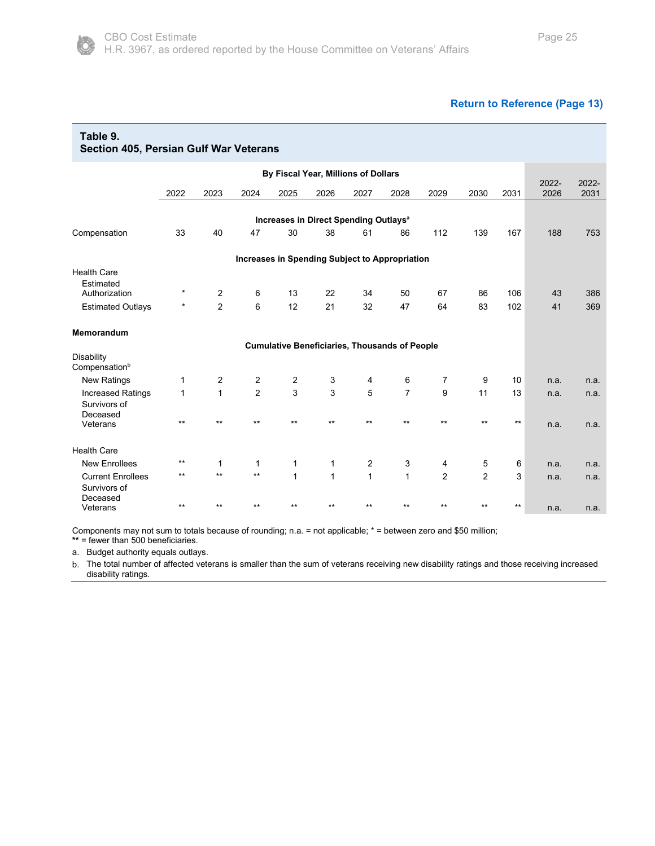#### **[Return to Reference \(Page 13\)](#page-12-1)**

<span id="page-24-0"></span>

| Table 9.<br>Section 405, Persian Gulf War Veterans |              |                     |                |                |                                                      |                |                |                |                |            |               |               |
|----------------------------------------------------|--------------|---------------------|----------------|----------------|------------------------------------------------------|----------------|----------------|----------------|----------------|------------|---------------|---------------|
|                                                    |              |                     |                |                | By Fiscal Year, Millions of Dollars                  |                |                |                |                |            |               |               |
|                                                    | 2022         | 2023                | 2024           | 2025           | 2026                                                 | 2027           | 2028           | 2029           | 2030           | 2031       | 2022-<br>2026 | 2022-<br>2031 |
|                                                    |              |                     |                |                | Increases in Direct Spending Outlays <sup>a</sup>    |                |                |                |                |            |               |               |
| Compensation                                       | 33           | 40                  | 47             | 30             | 38                                                   | 61             | 86             | 112            | 139            | 167        | 188           | 753           |
|                                                    |              |                     |                |                | Increases in Spending Subject to Appropriation       |                |                |                |                |            |               |               |
| <b>Health Care</b><br>Estimated                    | $^\star$     |                     |                |                |                                                      |                |                |                |                |            |               |               |
| Authorization<br><b>Estimated Outlays</b>          | $^\star$     | 2<br>$\overline{2}$ | 6<br>6         | 13<br>12       | 22<br>21                                             | 34<br>32       | 50<br>47       | 67<br>64       | 86<br>83       | 106<br>102 | 43<br>41      | 386<br>369    |
|                                                    |              |                     |                |                |                                                      |                |                |                |                |            |               |               |
| <b>Memorandum</b>                                  |              |                     |                |                |                                                      |                |                |                |                |            |               |               |
|                                                    |              |                     |                |                | <b>Cumulative Beneficiaries, Thousands of People</b> |                |                |                |                |            |               |               |
| Disability<br>Compensation <sup>b</sup>            |              |                     |                |                |                                                      |                |                |                |                |            |               |               |
| <b>New Ratings</b>                                 | 1            | 2                   | $\overline{2}$ | $\overline{2}$ | 3                                                    | 4              | 6              | $\overline{7}$ | 9              | 10         | n.a.          | n.a.          |
| <b>Increased Ratings</b>                           | $\mathbf{1}$ | $\mathbf{1}$        | $\overline{2}$ | 3              | 3                                                    | 5              | $\overline{7}$ | 9              | 11             | 13         | n.a.          | n.a.          |
| Survivors of<br>Deceased                           |              |                     |                |                |                                                      |                |                |                |                |            |               |               |
| Veterans                                           | $***$        | $***$               | $**$           | $***$          | $***$                                                | $**$           | $***$          | $***$          | $***$          | $***$      | n.a.          | n.a.          |
| <b>Health Care</b>                                 |              |                     |                |                |                                                      |                |                |                |                |            |               |               |
| <b>New Enrollees</b>                               | $***$        | 1                   | $\mathbf{1}$   | 1              | $\mathbf{1}$                                         | $\overline{2}$ | 3              | 4              | 5              | 6          | n.a.          | n.a.          |
| <b>Current Enrollees</b>                           | $***$        | $**$                | $**$           | $\mathbf{1}$   | $\mathbf{1}$                                         | $\mathbf{1}$   | $\mathbf{1}$   | $\overline{2}$ | $\overline{2}$ | 3          | n.a.          | n.a.          |
| Survivors of<br>Deceased<br>Veterans               | $***$        | $***$               | $***$          | $***$          | $***$                                                | $***$          | $***$          | $***$          | $***$          | $***$      | n.a.          | n.a.          |

Components may not sum to totals because of rounding; n.a. = not applicable; \* = between zero and \$50 million;

**\*\*** = fewer than 500 beneficiaries.

a. Budget authority equals outlays.